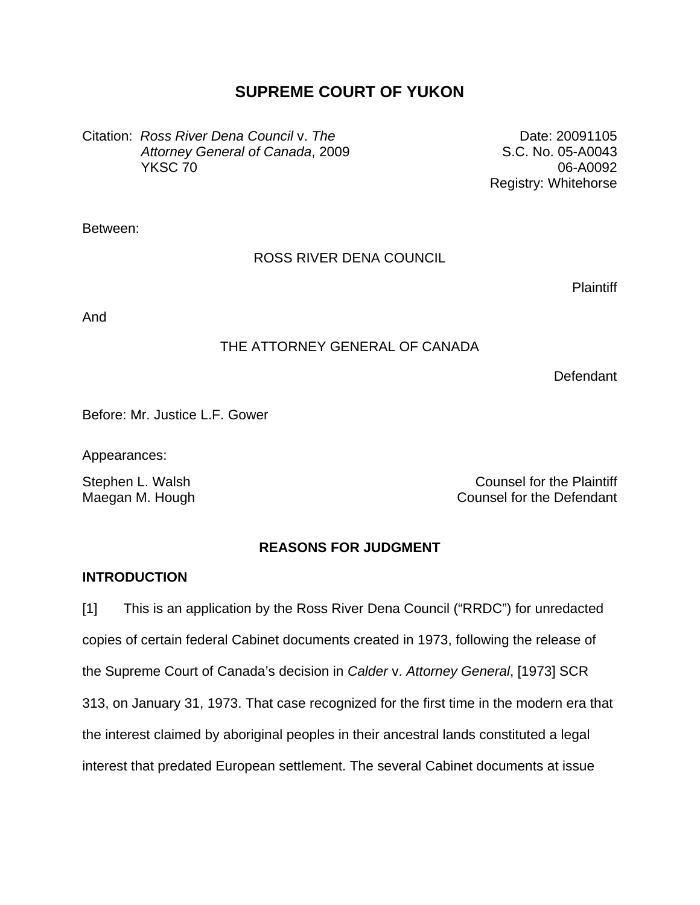# **SUPREME COURT OF YUKON**

Citation: *Ross River Dena Council* v. *The Attorney General of Canada*, 2009 YKSC 70

Date: 20091105 S.C. No. 05-A0043 06-A0092 Registry: Whitehorse

Between:

# ROSS RIVER DENA COUNCIL

**Plaintiff** 

And

# THE ATTORNEY GENERAL OF CANADA

**Defendant** 

Before: Mr. Justice L.F. Gower

Appearances:

Stephen L. Walsh Counsel for the Plaintiff Maegan M. Hough Counsel for the Defendant

# **REASONS FOR JUDGMENT**

# **INTRODUCTION**

[1] This is an application by the Ross River Dena Council ("RRDC") for unredacted copies of certain federal Cabinet documents created in 1973, following the release of the Supreme Court of Canada's decision in *Calder* v. *Attorney General*, [1973] SCR 313, on January 31, 1973. That case recognized for the first time in the modern era that the interest claimed by aboriginal peoples in their ancestral lands constituted a legal interest that predated European settlement. The several Cabinet documents at issue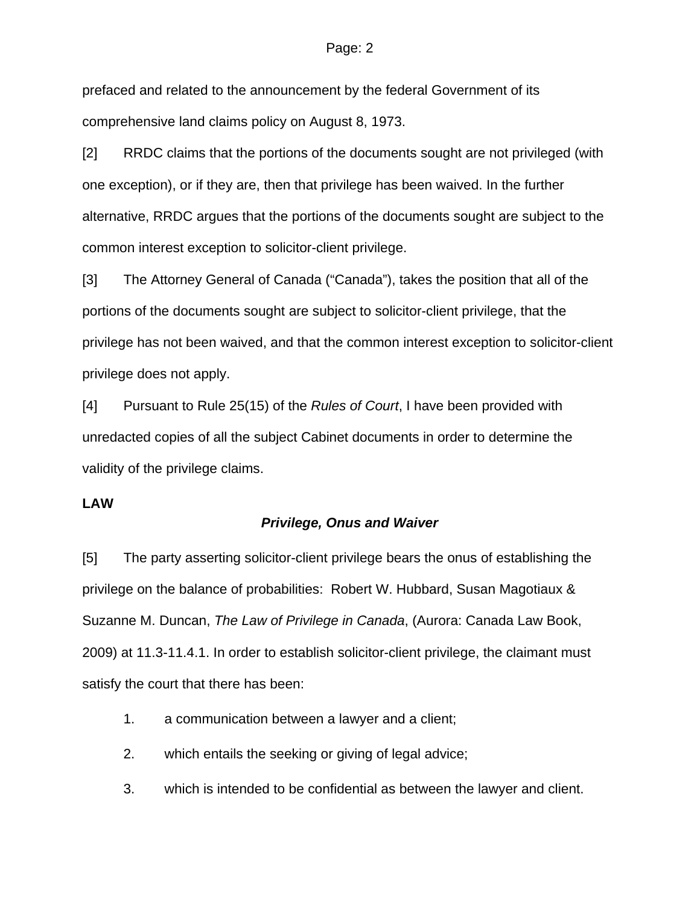prefaced and related to the announcement by the federal Government of its comprehensive land claims policy on August 8, 1973.

[2] RRDC claims that the portions of the documents sought are not privileged (with one exception), or if they are, then that privilege has been waived. In the further alternative, RRDC argues that the portions of the documents sought are subject to the common interest exception to solicitor-client privilege.

[3] The Attorney General of Canada ("Canada"), takes the position that all of the portions of the documents sought are subject to solicitor-client privilege, that the privilege has not been waived, and that the common interest exception to solicitor-client privilege does not apply.

[4] Pursuant to Rule 25(15) of the *Rules of Court*, I have been provided with unredacted copies of all the subject Cabinet documents in order to determine the validity of the privilege claims.

# **LAW**

#### *Privilege, Onus and Waiver*

[5] The party asserting solicitor-client privilege bears the onus of establishing the privilege on the balance of probabilities: Robert W. Hubbard, Susan Magotiaux & Suzanne M. Duncan, *The Law of Privilege in Canada*, (Aurora: Canada Law Book, 2009) at 11.3-11.4.1. In order to establish solicitor-client privilege, the claimant must satisfy the court that there has been:

- 1. a communication between a lawyer and a client;
- 2. which entails the seeking or giving of legal advice;
- 3. which is intended to be confidential as between the lawyer and client.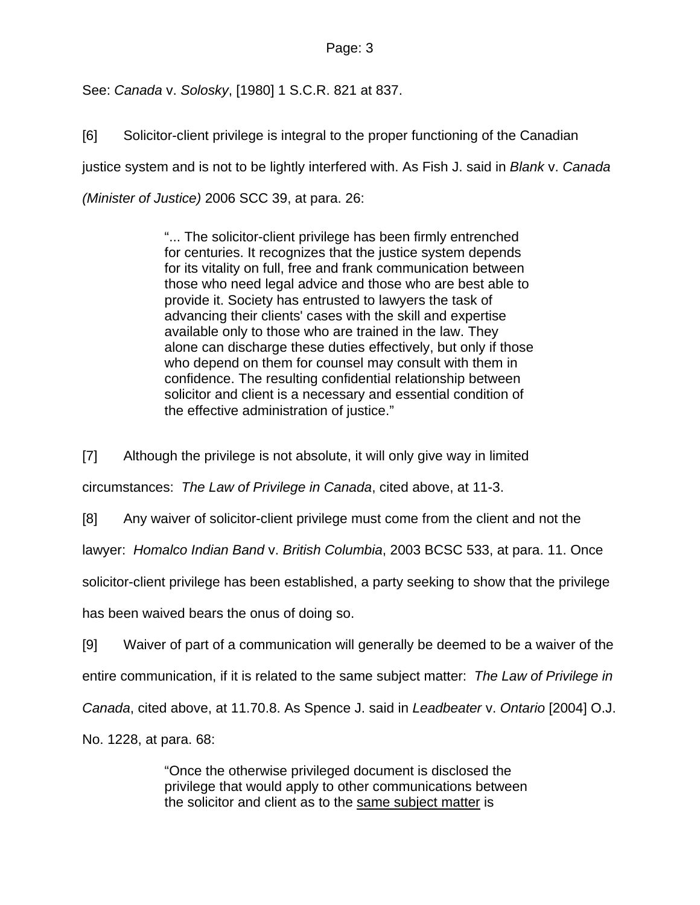See: *Canada* v. *Solosky*, [1980] 1 S.C.R. 821 at 837.

[6] Solicitor-client privilege is integral to the proper functioning of the Canadian justice system and is not to be lightly interfered with. As Fish J. said in *Blank* v. *Canada (Minister of Justice)* 2006 SCC 39, at para. 26:

> "... The solicitor-client privilege has been firmly entrenched for centuries. It recognizes that the justice system depends for its vitality on full, free and frank communication between those who need legal advice and those who are best able to provide it. Society has entrusted to lawyers the task of advancing their clients' cases with the skill and expertise available only to those who are trained in the law. They alone can discharge these duties effectively, but only if those who depend on them for counsel may consult with them in confidence. The resulting confidential relationship between solicitor and client is a necessary and essential condition of the effective administration of justice."

[7] Although the privilege is not absolute, it will only give way in limited circumstances: *The Law of Privilege in Canada*, cited above, at 11-3.

[8] Any waiver of solicitor-client privilege must come from the client and not the

lawyer: *Homalco Indian Band* v. *British Columbia*, 2003 BCSC 533, at para. 11. Once

solicitor-client privilege has been established, a party seeking to show that the privilege

has been waived bears the onus of doing so.

[9] Waiver of part of a communication will generally be deemed to be a waiver of the entire communication, if it is related to the same subject matter: *The Law of Privilege in Canada*, cited above, at 11.70.8. As Spence J. said in *Leadbeater* v. *Ontario* [2004] O.J. No. 1228, at para. 68:

> "Once the otherwise privileged document is disclosed the privilege that would apply to other communications between the solicitor and client as to the same subject matter is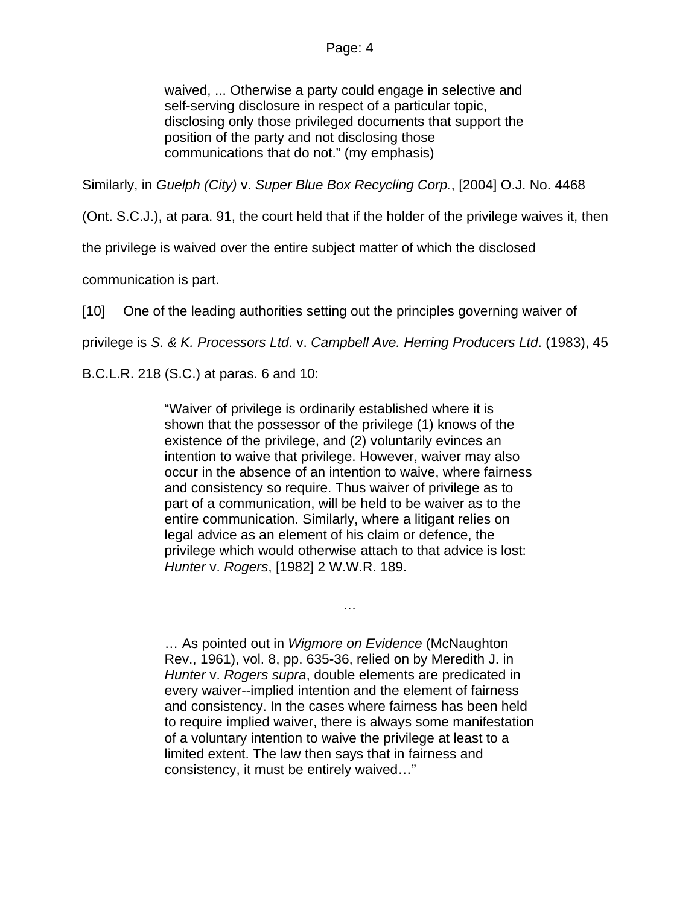waived, ... Otherwise a party could engage in selective and self-serving disclosure in respect of a particular topic, disclosing only those privileged documents that support the position of the party and not disclosing those communications that do not." (my emphasis)

Similarly, in *Guelph (City)* v. *Super Blue Box Recycling Corp.*, [2004] O.J. No. 4468

(Ont. S.C.J.), at para. 91, the court held that if the holder of the privilege waives it, then

the privilege is waived over the entire subject matter of which the disclosed

communication is part.

[10] One of the leading authorities setting out the principles governing waiver of

privilege is *S. & K. Processors Ltd*. v. *Campbell Ave. Herring Producers Ltd*. (1983), 45

B.C.L.R. 218 (S.C.) at paras. 6 and 10:

"Waiver of privilege is ordinarily established where it is shown that the possessor of the privilege (1) knows of the existence of the privilege, and (2) voluntarily evinces an intention to waive that privilege. However, waiver may also occur in the absence of an intention to waive, where fairness and consistency so require. Thus waiver of privilege as to part of a communication, will be held to be waiver as to the entire communication. Similarly, where a litigant relies on legal advice as an element of his claim or defence, the privilege which would otherwise attach to that advice is lost: *Hunter* v. *Rogers*, [\[1982\] 2 W.W.R. 189](http://www.lexisnexis.com/ca/legal/search/runRemoteLink.do?langcountry=CA&linkInfo=F%23CA%23WWR%23sel2%252%25year%251982%25page%25189%25sel1%251982%25vol%252%25&risb=21_T7581876426&bct=A&service=citation&A=0.12159609807917149).

… As pointed out in *Wigmore on Evidence* (McNaughton Rev., 1961), vol. 8, pp. 635-36, relied on by Meredith J. in *Hunter* v. *Rogers supra*, double elements are predicated in every waiver--implied intention and the element of fairness and consistency. In the cases where fairness has been held to require implied waiver, there is always some manifestation of a voluntary intention to waive the privilege at least to a limited extent. The law then says that in fairness and consistency, it must be entirely waived…"

…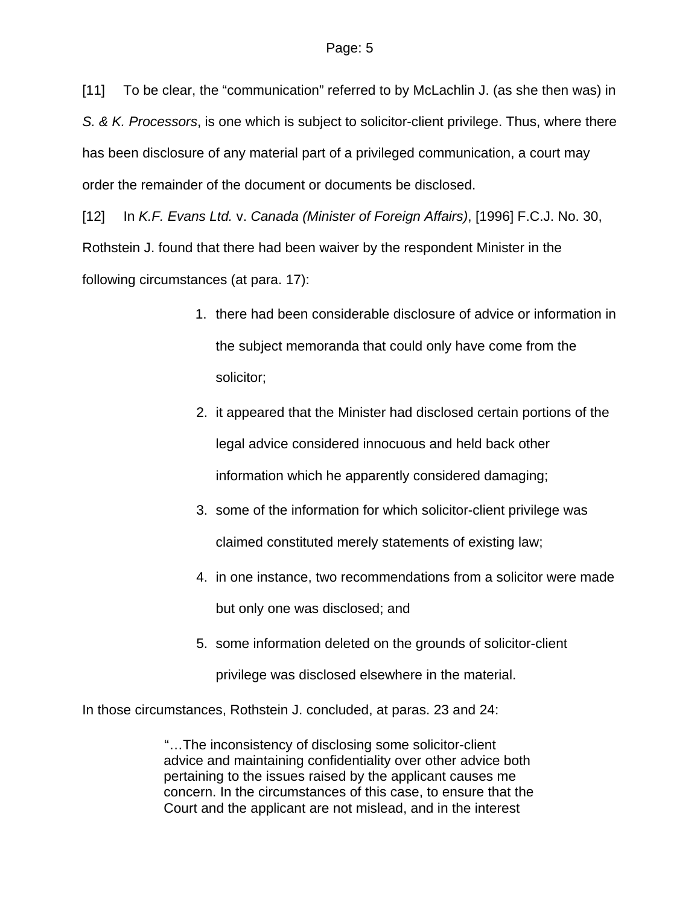[11] To be clear, the "communication" referred to by McLachlin J. (as she then was) in *S. & K. Processors*, is one which is subject to solicitor-client privilege. Thus, where there has been disclosure of any material part of a privileged communication, a court may order the remainder of the document or documents be disclosed.

[12] In *K.F. Evans Ltd.* v. *Canada (Minister of Foreign Affairs)*, [1996] F.C.J. No. 30, Rothstein J. found that there had been waiver by the respondent Minister in the following circumstances (at para. 17):

- 1. there had been considerable disclosure of advice or information in the subject memoranda that could only have come from the solicitor;
- 2. it appeared that the Minister had disclosed certain portions of the legal advice considered innocuous and held back other information which he apparently considered damaging;
- 3. some of the information for which solicitor-client privilege was claimed constituted merely statements of existing law;
- 4. in one instance, two recommendations from a solicitor were made but only one was disclosed; and
- 5. some information deleted on the grounds of solicitor-client

privilege was disclosed elsewhere in the material.

In those circumstances, Rothstein J. concluded, at paras. 23 and 24:

"…The inconsistency of disclosing some solicitor-client advice and maintaining confidentiality over other advice both pertaining to the issues raised by the applicant causes me concern. In the circumstances of this case, to ensure that the Court and the applicant are not mislead, and in the interest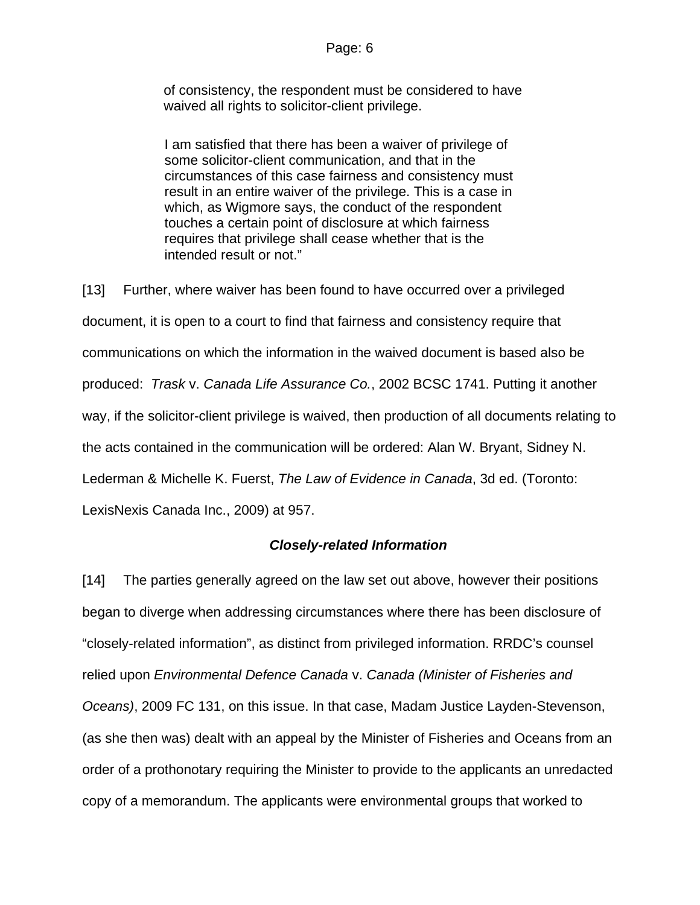of consistency, the respondent must be considered to have waived all rights to solicitor-client privilege.

I am satisfied that there has been a waiver of privilege of some solicitor-client communication, and that in the circumstances of this case fairness and consistency must result in an entire waiver of the privilege. This is a case in which, as Wigmore says, the conduct of the respondent touches a certain point of disclosure at which fairness requires that privilege shall cease whether that is the intended result or not."

[13] Further, where waiver has been found to have occurred over a privileged document, it is open to a court to find that fairness and consistency require that communications on which the information in the waived document is based also be produced: *Trask* v. *Canada Life Assurance Co.*, 2002 BCSC 1741. Putting it another way, if the solicitor-client privilege is waived, then production of all documents relating to the acts contained in the communication will be ordered: Alan W. Bryant, Sidney N. Lederman & Michelle K. Fuerst, *The Law of Evidence in Canada*, 3d ed. (Toronto: LexisNexis Canada Inc., 2009) at 957.

## *Closely-related Information*

[14] The parties generally agreed on the law set out above, however their positions began to diverge when addressing circumstances where there has been disclosure of "closely-related information", as distinct from privileged information. RRDC's counsel relied upon *Environmental Defence Canada* v. *Canada (Minister of Fisheries and Oceans)*, 2009 FC 131, on this issue. In that case, Madam Justice Layden-Stevenson, (as she then was) dealt with an appeal by the Minister of Fisheries and Oceans from an order of a prothonotary requiring the Minister to provide to the applicants an unredacted copy of a memorandum. The applicants were environmental groups that worked to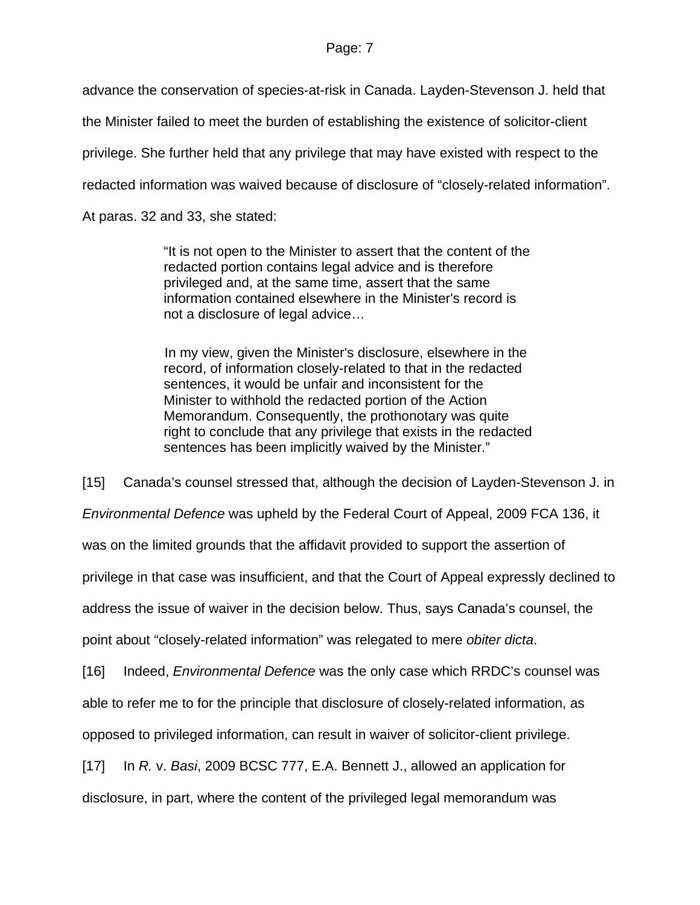advance the conservation of species-at-risk in Canada. Layden-Stevenson J. held that

the Minister failed to meet the burden of establishing the existence of solicitor-client

privilege. She further held that any privilege that may have existed with respect to the

redacted information was waived because of disclosure of "closely-related information".

At paras. 32 and 33, she stated:

"It is not open to the Minister to assert that the content of the redacted portion contains legal advice and is therefore privileged and, at the same time, assert that the same information contained elsewhere in the Minister's record is not a disclosure of legal advice…

In my view, given the Minister's disclosure, elsewhere in the record, of information closely-related to that in the redacted sentences, it would be unfair and inconsistent for the Minister to withhold the redacted portion of the Action Memorandum. Consequently, the prothonotary was quite right to conclude that any privilege that exists in the redacted sentences has been implicitly waived by the Minister."

[15] Canada's counsel stressed that, although the decision of Layden-Stevenson J. in

*Environmental Defence* was upheld by the Federal Court of Appeal, 2009 FCA 136, it

was on the limited grounds that the affidavit provided to support the assertion of

privilege in that case was insufficient, and that the Court of Appeal expressly declined to

address the issue of waiver in the decision below. Thus, says Canada's counsel, the

point about "closely-related information" was relegated to mere *obiter dicta*.

[16] Indeed, *Environmental Defence* was the only case which RRDC's counsel was

able to refer me to for the principle that disclosure of closely-related information, as

opposed to privileged information, can result in waiver of solicitor-client privilege.

[17] In *R.* v. *Basi*, 2009 BCSC 777, E.A. Bennett J., allowed an application for

disclosure, in part, where the content of the privileged legal memorandum was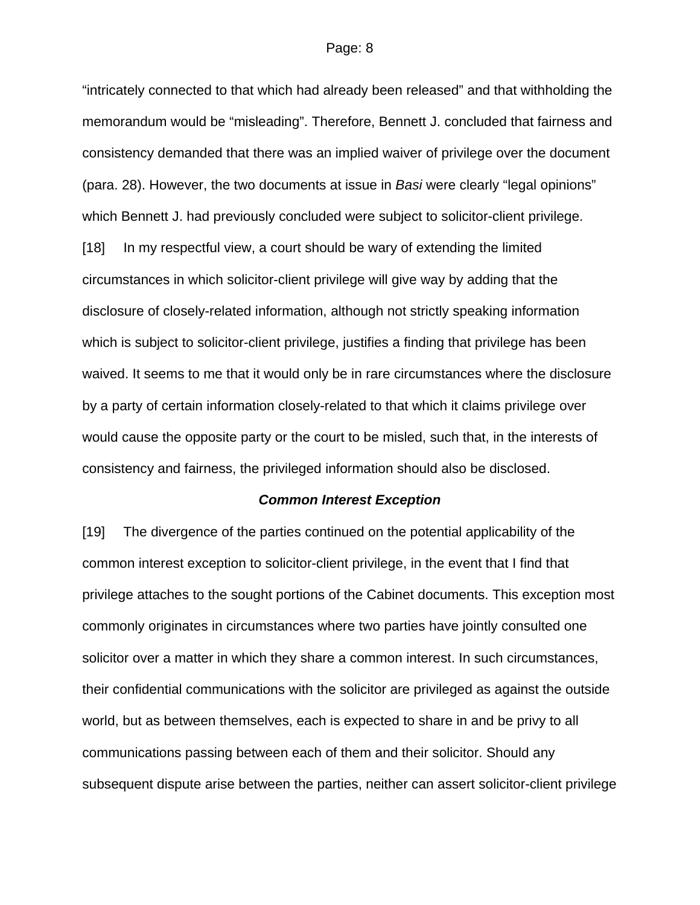"intricately connected to that which had already been released" and that withholding the memorandum would be "misleading". Therefore, Bennett J. concluded that fairness and consistency demanded that there was an implied waiver of privilege over the document (para. 28). However, the two documents at issue in *Basi* were clearly "legal opinions" which Bennett J. had previously concluded were subject to solicitor-client privilege. [18] In my respectful view, a court should be wary of extending the limited circumstances in which solicitor-client privilege will give way by adding that the disclosure of closely-related information, although not strictly speaking information which is subject to solicitor-client privilege, justifies a finding that privilege has been waived. It seems to me that it would only be in rare circumstances where the disclosure by a party of certain information closely-related to that which it claims privilege over would cause the opposite party or the court to be misled, such that, in the interests of consistency and fairness, the privileged information should also be disclosed.

#### *Common Interest Exception*

[19] The divergence of the parties continued on the potential applicability of the common interest exception to solicitor-client privilege, in the event that I find that privilege attaches to the sought portions of the Cabinet documents. This exception most commonly originates in circumstances where two parties have jointly consulted one solicitor over a matter in which they share a common interest. In such circumstances, their confidential communications with the solicitor are privileged as against the outside world, but as between themselves, each is expected to share in and be privy to all communications passing between each of them and their solicitor. Should any subsequent dispute arise between the parties, neither can assert solicitor-client privilege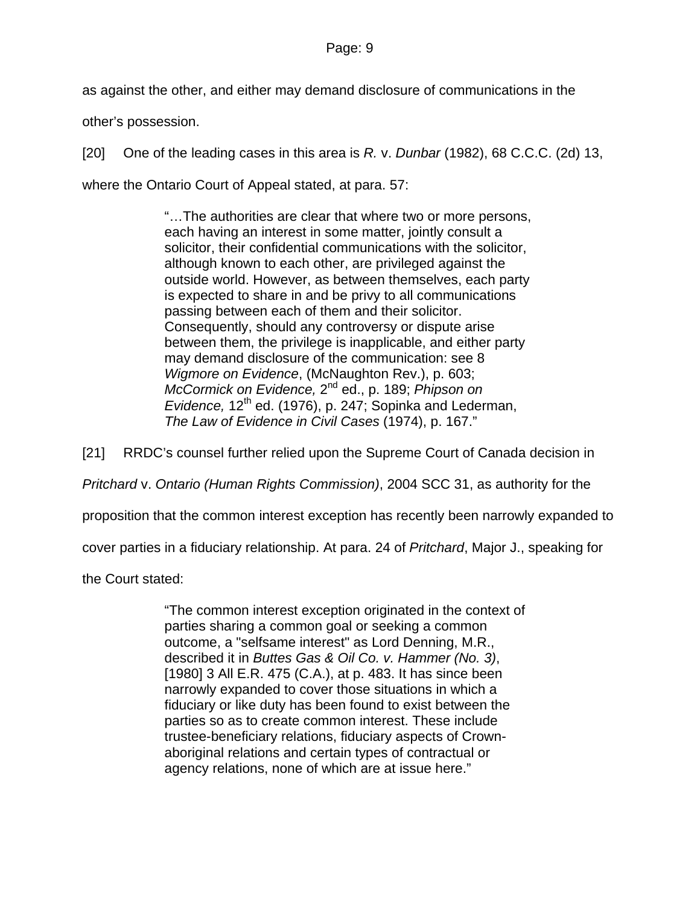as against the other, and either may demand disclosure of communications in the

other's possession.

[20] One of the leading cases in this area is *R.* v. *Dunbar* (1982), 68 C.C.C. (2d) 13,

where the Ontario Court of Appeal stated, at para. 57:

"…The authorities are clear that where two or more persons, each having an interest in some matter, jointly consult a solicitor, their confidential communications with the solicitor, although known to each other, are privileged against the outside world. However, as between themselves, each party is expected to share in and be privy to all communications passing between each of them and their solicitor. Consequently, should any controversy or dispute arise between them, the privilege is inapplicable, and either party may demand disclosure of the communication: see 8 *Wigmore on Evidence*, (McNaughton Rev.), p. 603; *McCormick on Evidence,* 2nd ed., p. 189; *Phipson on Evidence, 12<sup>th</sup> ed. (1976), p. 247; Sopinka and Lederman, The Law of Evidence in Civil Cases* (1974), p. 167."

[21] RRDC's counsel further relied upon the Supreme Court of Canada decision in

*Pritchard* v. *Ontario (Human Rights Commission)*, 2004 SCC 31, as authority for the

proposition that the common interest exception has recently been narrowly expanded to

cover parties in a fiduciary relationship. At para. 24 of *Pritchard*, Major J., speaking for

the Court stated:

"The common interest exception originated in the context of parties sharing a common goal or seeking a common outcome, a "selfsame interest" as Lord Denning, M.R., described it in *Buttes Gas & Oil Co. v. Hammer (No. 3)*, [1980] 3 All E.R. 475 (C.A.), at p. 483. It has since been narrowly expanded to cover those situations in which a fiduciary or like duty has been found to exist between the parties so as to create common interest. These include trustee-beneficiary relations, fiduciary aspects of Crownaboriginal relations and certain types of contractual or agency relations, none of which are at issue here."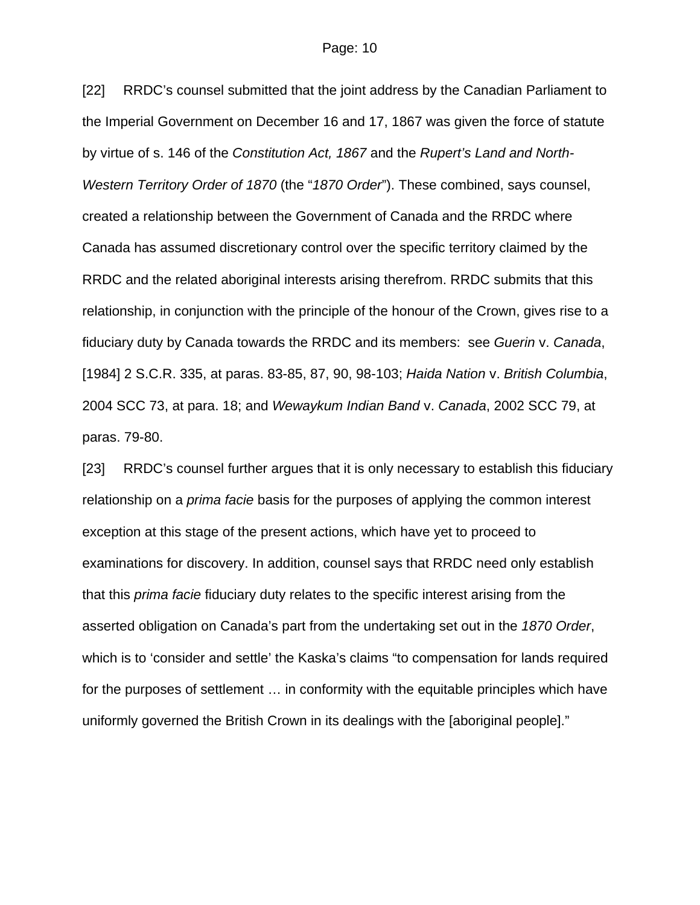[22] RRDC's counsel submitted that the joint address by the Canadian Parliament to the Imperial Government on December 16 and 17, 1867 was given the force of statute by virtue of s. 146 of the *Constitution Act, 1867* and the *Rupert's Land and North-Western Territory Order of 1870* (the "*1870 Order*"). These combined, says counsel, created a relationship between the Government of Canada and the RRDC where Canada has assumed discretionary control over the specific territory claimed by the RRDC and the related aboriginal interests arising therefrom. RRDC submits that this relationship, in conjunction with the principle of the honour of the Crown, gives rise to a fiduciary duty by Canada towards the RRDC and its members: see *Guerin* v. *Canada*, [1984] 2 S.C.R. 335, at paras. 83-85, 87, 90, 98-103; *Haida Nation* v. *British Columbia*, 2004 SCC 73, at para. 18; and *Wewaykum Indian Band* v. *Canada*, 2002 SCC 79, at paras. 79-80.

[23] RRDC's counsel further argues that it is only necessary to establish this fiduciary relationship on a *prima facie* basis for the purposes of applying the common interest exception at this stage of the present actions, which have yet to proceed to examinations for discovery. In addition, counsel says that RRDC need only establish that this *prima facie* fiduciary duty relates to the specific interest arising from the asserted obligation on Canada's part from the undertaking set out in the *1870 Order*, which is to 'consider and settle' the Kaska's claims "to compensation for lands required for the purposes of settlement … in conformity with the equitable principles which have uniformly governed the British Crown in its dealings with the [aboriginal people]."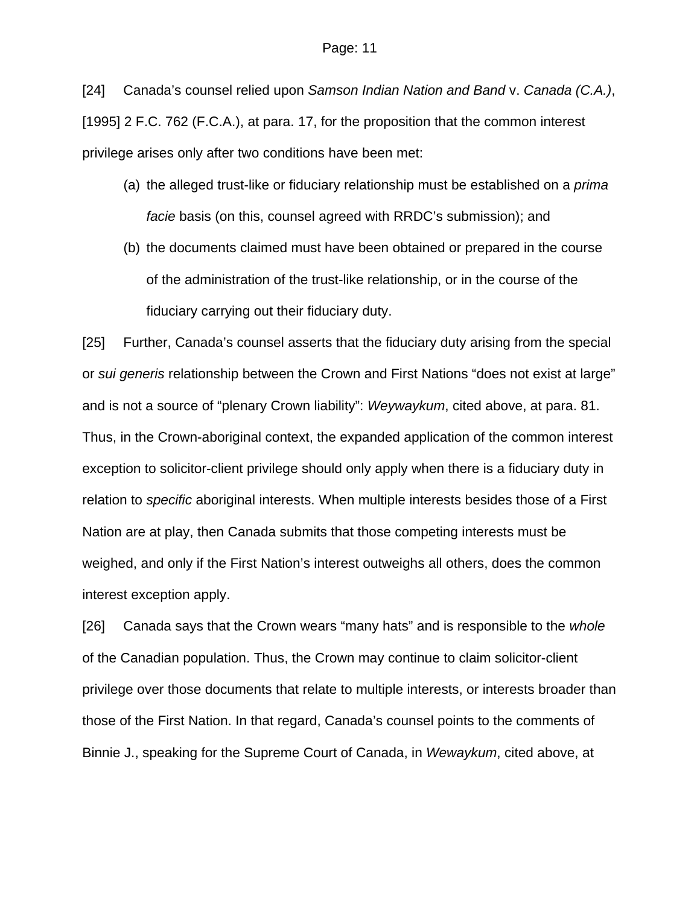[24] Canada's counsel relied upon *Samson Indian Nation and Band* v. *Canada (C.A.)*, [1995] 2 F.C. 762 (F.C.A.), at para. 17, for the proposition that the common interest privilege arises only after two conditions have been met:

- (a) the alleged trust-like or fiduciary relationship must be established on a *prima facie* basis (on this, counsel agreed with RRDC's submission); and
- (b) the documents claimed must have been obtained or prepared in the course of the administration of the trust-like relationship, or in the course of the fiduciary carrying out their fiduciary duty.

[25] Further, Canada's counsel asserts that the fiduciary duty arising from the special or *sui generis* relationship between the Crown and First Nations "does not exist at large" and is not a source of "plenary Crown liability": *Weywaykum*, cited above, at para. 81. Thus, in the Crown-aboriginal context, the expanded application of the common interest exception to solicitor-client privilege should only apply when there is a fiduciary duty in relation to *specific* aboriginal interests. When multiple interests besides those of a First Nation are at play, then Canada submits that those competing interests must be weighed, and only if the First Nation's interest outweighs all others, does the common interest exception apply.

[26] Canada says that the Crown wears "many hats" and is responsible to the *whole* of the Canadian population. Thus, the Crown may continue to claim solicitor-client privilege over those documents that relate to multiple interests, or interests broader than those of the First Nation. In that regard, Canada's counsel points to the comments of Binnie J., speaking for the Supreme Court of Canada, in *Wewaykum*, cited above, at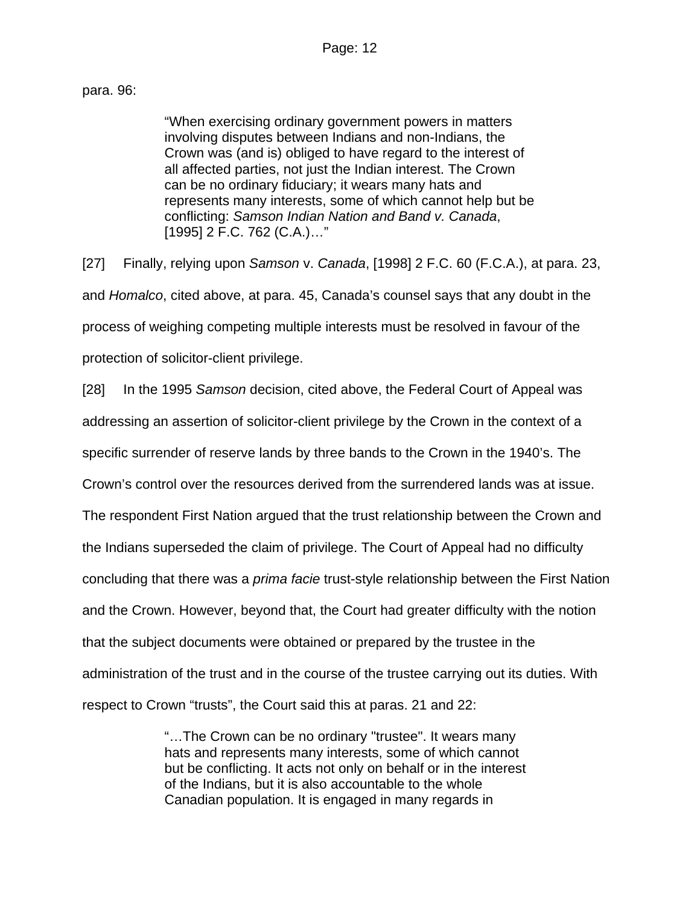## para. 96:

"When exercising ordinary government powers in matters involving disputes between Indians and non-Indians, the Crown was (and is) obliged to have regard to the interest of all affected parties, not just the Indian interest. The Crown can be no ordinary fiduciary; it wears many hats and represents many interests, some of which cannot help but be conflicting: *Samson Indian Nation and Band v. Canada*, [\[1995\] 2 F.C. 762](http://www.lexisnexis.com/ca/legal/search/runRemoteLink.do?langcountry=CA&linkInfo=F%23CA%23FCR%23sel2%252%25year%251995%25page%25762%25sel1%251995%25vol%252%25&risb=21_T7591606672&bct=A&service=citation&A=0.522585489844808) (C.A.)…"

[27] Finally, relying upon *Samson* v. *Canada*, [1998] 2 F.C. 60 (F.C.A.), at para. 23, and *Homalco*, cited above, at para. 45, Canada's counsel says that any doubt in the process of weighing competing multiple interests must be resolved in favour of the protection of solicitor-client privilege.

[28] In the 1995 *Samson* decision, cited above, the Federal Court of Appeal was addressing an assertion of solicitor-client privilege by the Crown in the context of a specific surrender of reserve lands by three bands to the Crown in the 1940's. The Crown's control over the resources derived from the surrendered lands was at issue. The respondent First Nation argued that the trust relationship between the Crown and the Indians superseded the claim of privilege. The Court of Appeal had no difficulty concluding that there was a *prima facie* trust-style relationship between the First Nation and the Crown. However, beyond that, the Court had greater difficulty with the notion that the subject documents were obtained or prepared by the trustee in the administration of the trust and in the course of the trustee carrying out its duties. With respect to Crown "trusts", the Court said this at paras. 21 and 22:

> "…The Crown can be no ordinary "trustee". It wears many hats and represents many interests, some of which cannot but be conflicting. It acts not only on behalf or in the interest of the Indians, but it is also accountable to the whole Canadian population. It is engaged in many regards in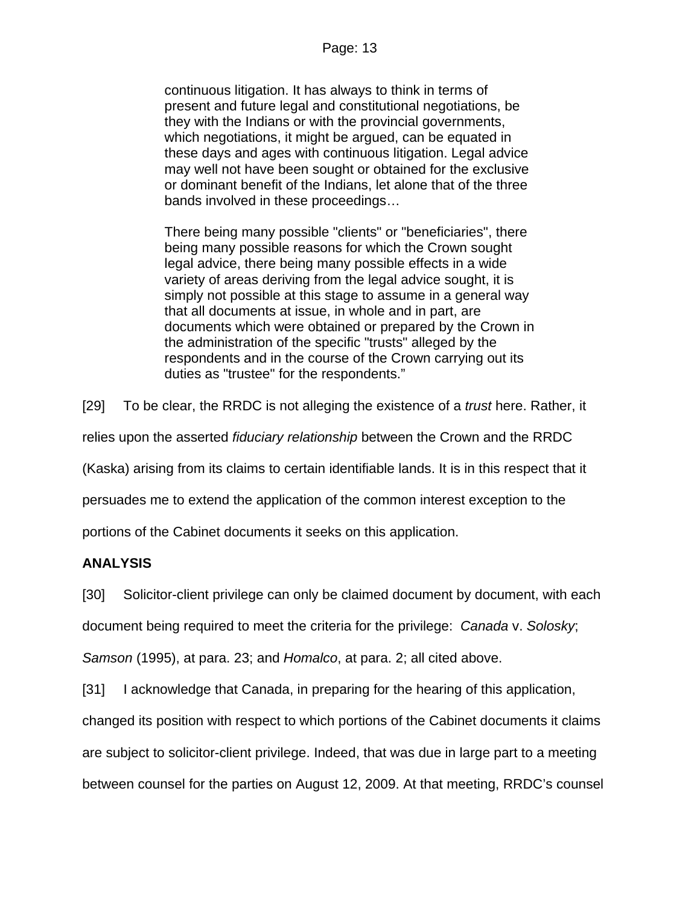continuous litigation. It has always to think in terms of present and future legal and constitutional negotiations, be they with the Indians or with the provincial governments, which negotiations, it might be argued, can be equated in these days and ages with continuous litigation. Legal advice may well not have been sought or obtained for the exclusive or dominant benefit of the Indians, let alone that of the three bands involved in these proceedings…

There being many possible "clients" or "beneficiaries", there being many possible reasons for which the Crown sought legal advice, there being many possible effects in a wide variety of areas deriving from the legal advice sought, it is simply not possible at this stage to assume in a general way that all documents at issue, in whole and in part, are documents which were obtained or prepared by the Crown in the administration of the specific "trusts" alleged by the respondents and in the course of the Crown carrying out its duties as "trustee" for the respondents."

[29] To be clear, the RRDC is not alleging the existence of a *trust* here. Rather, it

relies upon the asserted *fiduciary relationship* between the Crown and the RRDC

(Kaska) arising from its claims to certain identifiable lands. It is in this respect that it

persuades me to extend the application of the common interest exception to the

portions of the Cabinet documents it seeks on this application.

# **ANALYSIS**

[30] Solicitor-client privilege can only be claimed document by document, with each

document being required to meet the criteria for the privilege: *Canada* v. *Solosky*;

*Samson* (1995), at para. 23; and *Homalco*, at para. 2; all cited above.

[31] I acknowledge that Canada, in preparing for the hearing of this application,

changed its position with respect to which portions of the Cabinet documents it claims

are subject to solicitor-client privilege. Indeed, that was due in large part to a meeting

between counsel for the parties on August 12, 2009. At that meeting, RRDC's counsel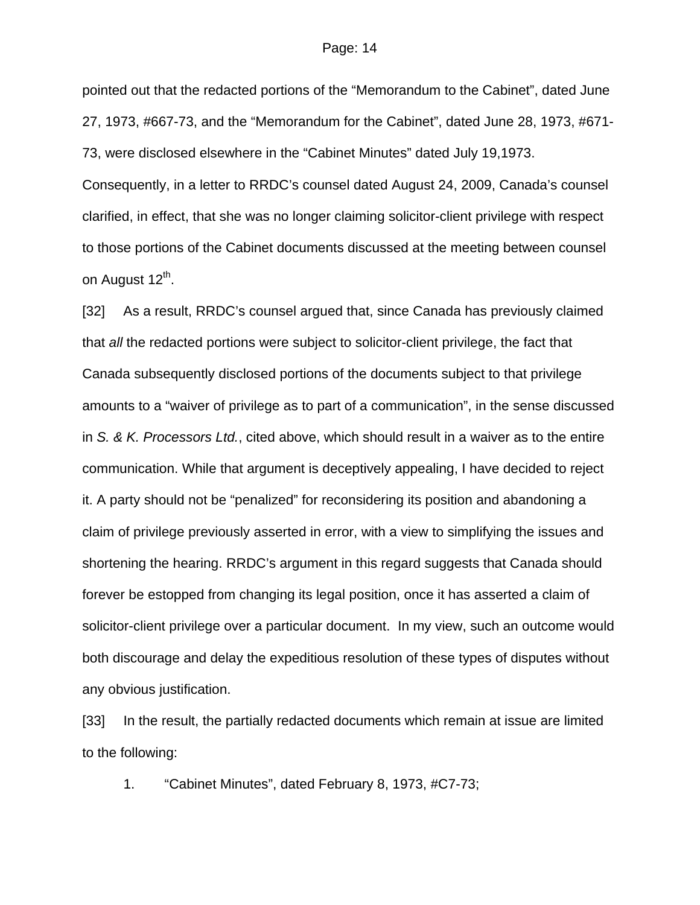pointed out that the redacted portions of the "Memorandum to the Cabinet", dated June 27, 1973, #667-73, and the "Memorandum for the Cabinet", dated June 28, 1973, #671- 73, were disclosed elsewhere in the "Cabinet Minutes" dated July 19,1973. Consequently, in a letter to RRDC's counsel dated August 24, 2009, Canada's counsel clarified, in effect, that she was no longer claiming solicitor-client privilege with respect to those portions of the Cabinet documents discussed at the meeting between counsel on August 12<sup>th</sup>.

[32] As a result, RRDC's counsel argued that, since Canada has previously claimed that *all* the redacted portions were subject to solicitor-client privilege, the fact that Canada subsequently disclosed portions of the documents subject to that privilege amounts to a "waiver of privilege as to part of a communication", in the sense discussed in *S. & K. Processors Ltd.*, cited above, which should result in a waiver as to the entire communication. While that argument is deceptively appealing, I have decided to reject it. A party should not be "penalized" for reconsidering its position and abandoning a claim of privilege previously asserted in error, with a view to simplifying the issues and shortening the hearing. RRDC's argument in this regard suggests that Canada should forever be estopped from changing its legal position, once it has asserted a claim of solicitor-client privilege over a particular document. In my view, such an outcome would both discourage and delay the expeditious resolution of these types of disputes without any obvious justification.

[33] In the result, the partially redacted documents which remain at issue are limited to the following:

1. "Cabinet Minutes", dated February 8, 1973, #C7-73;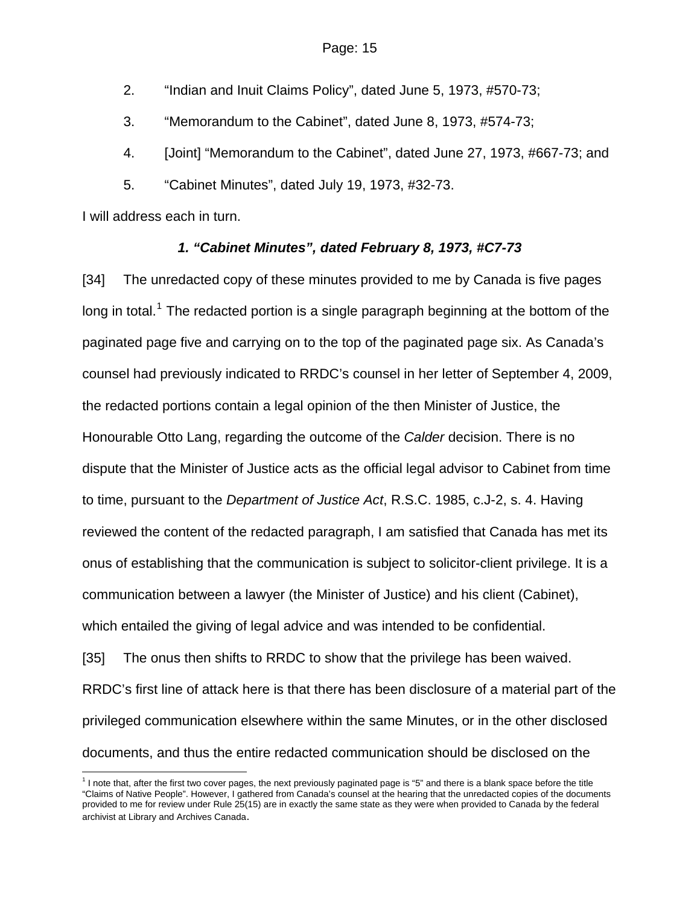2. "Indian and Inuit Claims Policy", dated June 5, 1973, #570-73;

3. "Memorandum to the Cabinet", dated June 8, 1973, #574-73;

4. [Joint] "Memorandum to the Cabinet", dated June 27, 1973, #667-73; and

5. "Cabinet Minutes", dated July 19, 1973, #32-73.

I will address each in turn.

 $\overline{a}$ 

# *1. "Cabinet Minutes", dated February 8, 1973, #C7-73*

[34] The unredacted copy of these minutes provided to me by Canada is five pages long in total.<sup>[1](#page-14-0)</sup> The redacted portion is a single paragraph beginning at the bottom of the paginated page five and carrying on to the top of the paginated page six. As Canada's counsel had previously indicated to RRDC's counsel in her letter of September 4, 2009, the redacted portions contain a legal opinion of the then Minister of Justice, the Honourable Otto Lang, regarding the outcome of the *Calder* decision. There is no dispute that the Minister of Justice acts as the official legal advisor to Cabinet from time to time, pursuant to the *Department of Justice Act*, R.S.C. 1985, c.J-2, s. 4. Having reviewed the content of the redacted paragraph, I am satisfied that Canada has met its onus of establishing that the communication is subject to solicitor-client privilege. It is a communication between a lawyer (the Minister of Justice) and his client (Cabinet), which entailed the giving of legal advice and was intended to be confidential.

[35] The onus then shifts to RRDC to show that the privilege has been waived. RRDC's first line of attack here is that there has been disclosure of a material part of the privileged communication elsewhere within the same Minutes, or in the other disclosed documents, and thus the entire redacted communication should be disclosed on the

<span id="page-14-0"></span><sup>&</sup>lt;sup>1</sup> I note that, after the first two cover pages, the next previously paginated page is "5" and there is a blank space before the title "Claims of Native People". However, I gathered from Canada's counsel at the hearing that the unredacted copies of the documents provided to me for review under Rule 25(15) are in exactly the same state as they were when provided to Canada by the federal archivist at Library and Archives Canada.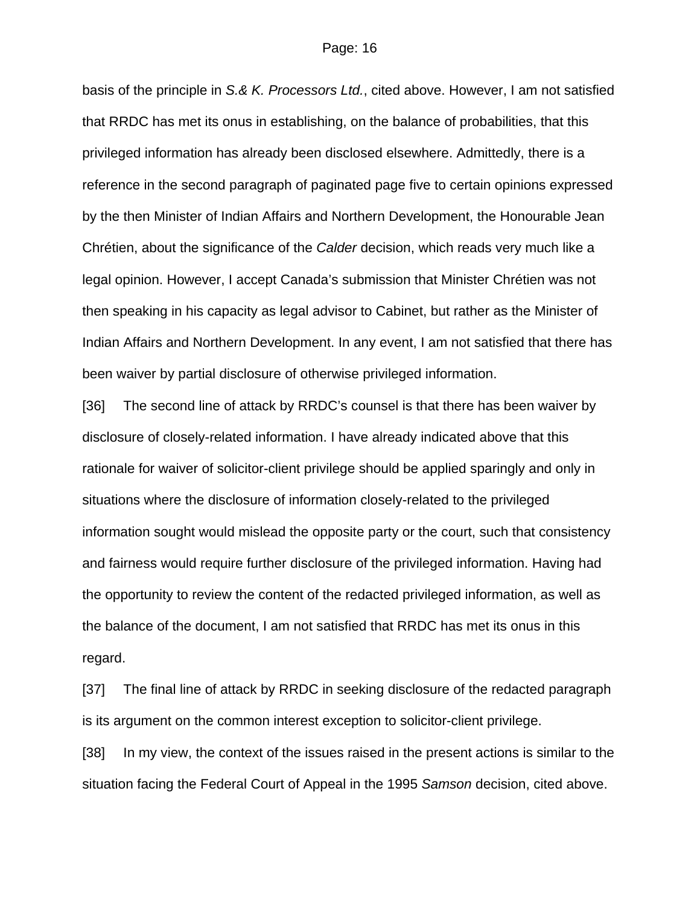basis of the principle in *S.& K. Processors Ltd.*, cited above. However, I am not satisfied that RRDC has met its onus in establishing, on the balance of probabilities, that this privileged information has already been disclosed elsewhere. Admittedly, there is a reference in the second paragraph of paginated page five to certain opinions expressed by the then Minister of Indian Affairs and Northern Development, the Honourable Jean Chrétien, about the significance of the *Calder* decision, which reads very much like a legal opinion. However, I accept Canada's submission that Minister Chrétien was not then speaking in his capacity as legal advisor to Cabinet, but rather as the Minister of Indian Affairs and Northern Development. In any event, I am not satisfied that there has been waiver by partial disclosure of otherwise privileged information.

[36] The second line of attack by RRDC's counsel is that there has been waiver by disclosure of closely-related information. I have already indicated above that this rationale for waiver of solicitor-client privilege should be applied sparingly and only in situations where the disclosure of information closely-related to the privileged information sought would mislead the opposite party or the court, such that consistency and fairness would require further disclosure of the privileged information. Having had the opportunity to review the content of the redacted privileged information, as well as the balance of the document, I am not satisfied that RRDC has met its onus in this regard.

[37] The final line of attack by RRDC in seeking disclosure of the redacted paragraph is its argument on the common interest exception to solicitor-client privilege.

[38] In my view, the context of the issues raised in the present actions is similar to the situation facing the Federal Court of Appeal in the 1995 *Samson* decision, cited above.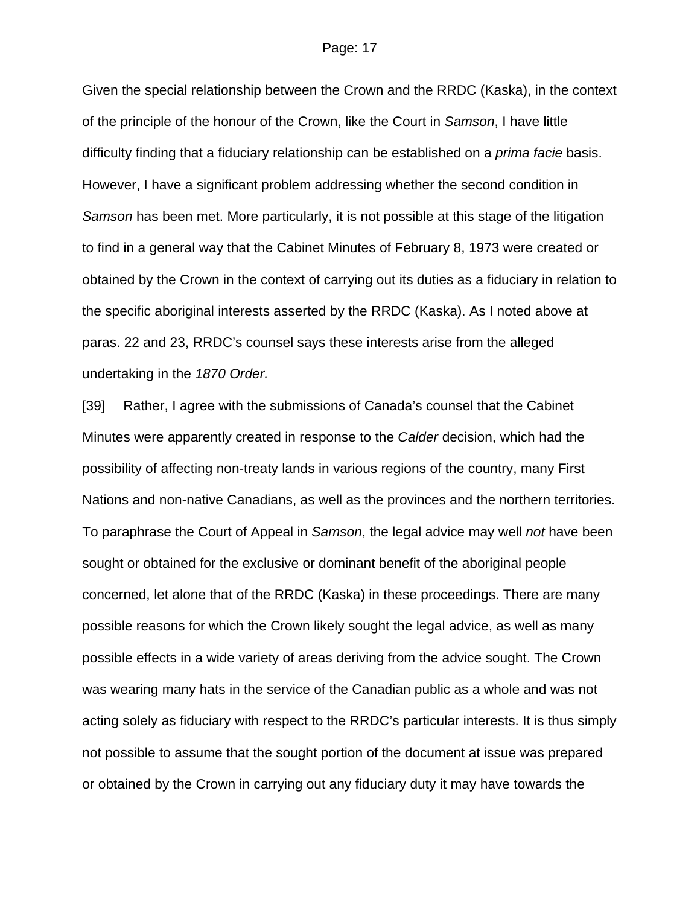Given the special relationship between the Crown and the RRDC (Kaska), in the context of the principle of the honour of the Crown, like the Court in *Samson*, I have little difficulty finding that a fiduciary relationship can be established on a *prima facie* basis. However, I have a significant problem addressing whether the second condition in *Samson* has been met. More particularly, it is not possible at this stage of the litigation to find in a general way that the Cabinet Minutes of February 8, 1973 were created or obtained by the Crown in the context of carrying out its duties as a fiduciary in relation to the specific aboriginal interests asserted by the RRDC (Kaska). As I noted above at paras. 22 and 23, RRDC's counsel says these interests arise from the alleged undertaking in the *1870 Order.*

[39] Rather, I agree with the submissions of Canada's counsel that the Cabinet Minutes were apparently created in response to the *Calder* decision, which had the possibility of affecting non-treaty lands in various regions of the country, many First Nations and non-native Canadians, as well as the provinces and the northern territories. To paraphrase the Court of Appeal in *Samson*, the legal advice may well *not* have been sought or obtained for the exclusive or dominant benefit of the aboriginal people concerned, let alone that of the RRDC (Kaska) in these proceedings. There are many possible reasons for which the Crown likely sought the legal advice, as well as many possible effects in a wide variety of areas deriving from the advice sought. The Crown was wearing many hats in the service of the Canadian public as a whole and was not acting solely as fiduciary with respect to the RRDC's particular interests. It is thus simply not possible to assume that the sought portion of the document at issue was prepared or obtained by the Crown in carrying out any fiduciary duty it may have towards the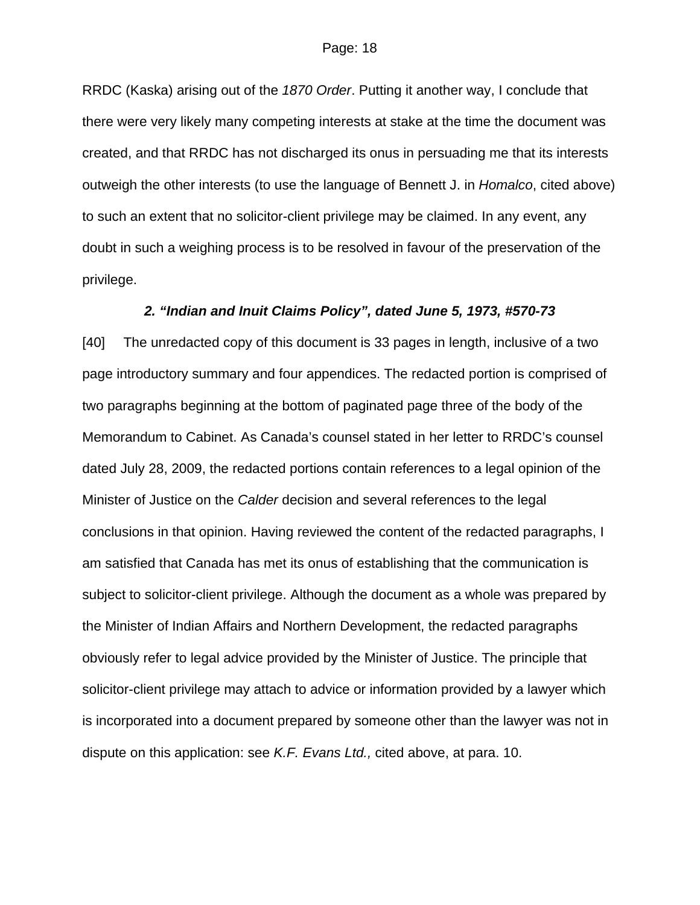RRDC (Kaska) arising out of the *1870 Order*. Putting it another way, I conclude that there were very likely many competing interests at stake at the time the document was created, and that RRDC has not discharged its onus in persuading me that its interests outweigh the other interests (to use the language of Bennett J. in *Homalco*, cited above) to such an extent that no solicitor-client privilege may be claimed. In any event, any doubt in such a weighing process is to be resolved in favour of the preservation of the privilege.

#### *2. "Indian and Inuit Claims Policy", dated June 5, 1973, #570-73*

[40] The unredacted copy of this document is 33 pages in length, inclusive of a two page introductory summary and four appendices. The redacted portion is comprised of two paragraphs beginning at the bottom of paginated page three of the body of the Memorandum to Cabinet. As Canada's counsel stated in her letter to RRDC's counsel dated July 28, 2009, the redacted portions contain references to a legal opinion of the Minister of Justice on the *Calder* decision and several references to the legal conclusions in that opinion. Having reviewed the content of the redacted paragraphs, I am satisfied that Canada has met its onus of establishing that the communication is subject to solicitor-client privilege. Although the document as a whole was prepared by the Minister of Indian Affairs and Northern Development, the redacted paragraphs obviously refer to legal advice provided by the Minister of Justice. The principle that solicitor-client privilege may attach to advice or information provided by a lawyer which is incorporated into a document prepared by someone other than the lawyer was not in dispute on this application: see *K.F. Evans Ltd.,* cited above, at para. 10.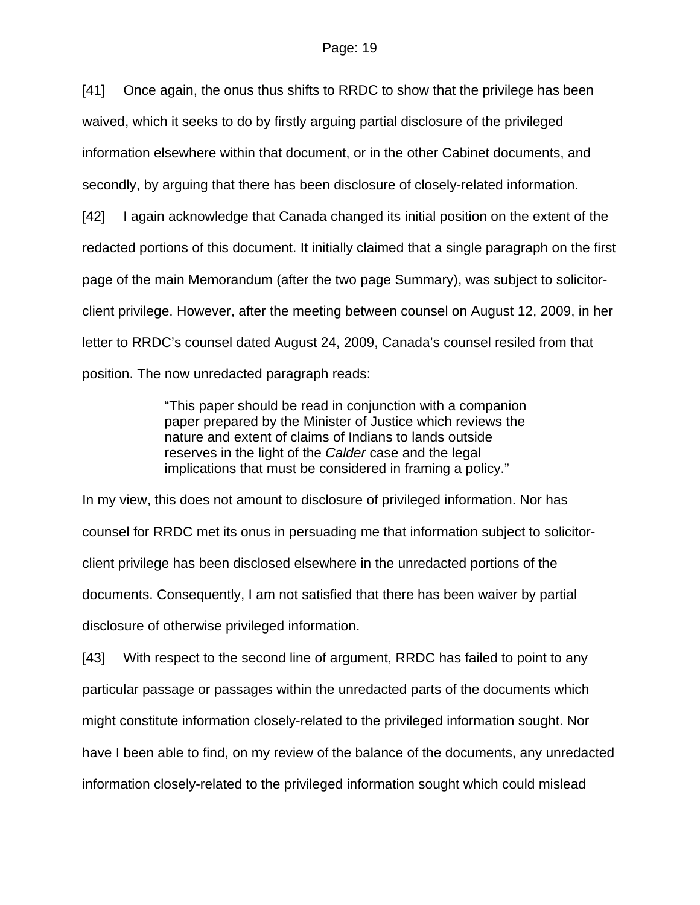[41] Once again, the onus thus shifts to RRDC to show that the privilege has been waived, which it seeks to do by firstly arguing partial disclosure of the privileged information elsewhere within that document, or in the other Cabinet documents, and secondly, by arguing that there has been disclosure of closely-related information. [42] I again acknowledge that Canada changed its initial position on the extent of the redacted portions of this document. It initially claimed that a single paragraph on the first page of the main Memorandum (after the two page Summary), was subject to solicitorclient privilege. However, after the meeting between counsel on August 12, 2009, in her letter to RRDC's counsel dated August 24, 2009, Canada's counsel resiled from that position. The now unredacted paragraph reads:

> "This paper should be read in conjunction with a companion paper prepared by the Minister of Justice which reviews the nature and extent of claims of Indians to lands outside reserves in the light of the *Calder* case and the legal implications that must be considered in framing a policy."

In my view, this does not amount to disclosure of privileged information. Nor has counsel for RRDC met its onus in persuading me that information subject to solicitorclient privilege has been disclosed elsewhere in the unredacted portions of the documents. Consequently, I am not satisfied that there has been waiver by partial disclosure of otherwise privileged information.

[43] With respect to the second line of argument, RRDC has failed to point to any particular passage or passages within the unredacted parts of the documents which might constitute information closely-related to the privileged information sought. Nor have I been able to find, on my review of the balance of the documents, any unredacted information closely-related to the privileged information sought which could mislead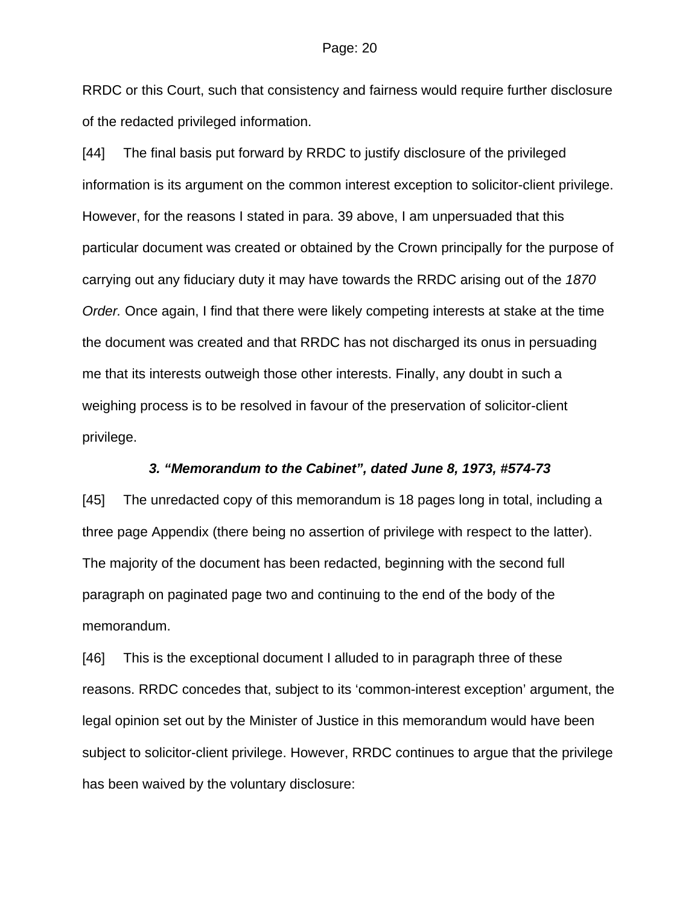RRDC or this Court, such that consistency and fairness would require further disclosure of the redacted privileged information.

[44] The final basis put forward by RRDC to justify disclosure of the privileged information is its argument on the common interest exception to solicitor-client privilege. However, for the reasons I stated in para. 39 above, I am unpersuaded that this particular document was created or obtained by the Crown principally for the purpose of carrying out any fiduciary duty it may have towards the RRDC arising out of the *1870 Order.* Once again, I find that there were likely competing interests at stake at the time the document was created and that RRDC has not discharged its onus in persuading me that its interests outweigh those other interests. Finally, any doubt in such a weighing process is to be resolved in favour of the preservation of solicitor-client privilege.

#### *3. "Memorandum to the Cabinet", dated June 8, 1973, #574-73*

[45] The unredacted copy of this memorandum is 18 pages long in total, including a three page Appendix (there being no assertion of privilege with respect to the latter). The majority of the document has been redacted, beginning with the second full paragraph on paginated page two and continuing to the end of the body of the memorandum.

[46] This is the exceptional document I alluded to in paragraph three of these reasons. RRDC concedes that, subject to its 'common-interest exception' argument, the legal opinion set out by the Minister of Justice in this memorandum would have been subject to solicitor-client privilege. However, RRDC continues to argue that the privilege has been waived by the voluntary disclosure: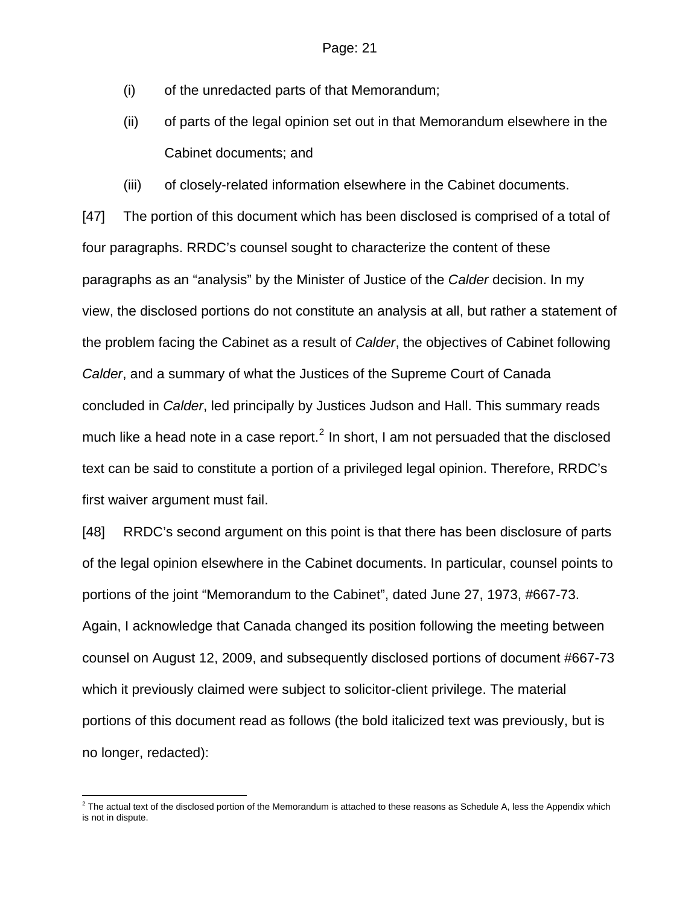- (i) of the unredacted parts of that Memorandum;
- (ii) of parts of the legal opinion set out in that Memorandum elsewhere in the Cabinet documents; and
- (iii) of closely-related information elsewhere in the Cabinet documents.

[47] The portion of this document which has been disclosed is comprised of a total of four paragraphs. RRDC's counsel sought to characterize the content of these paragraphs as an "analysis" by the Minister of Justice of the *Calder* decision. In my view, the disclosed portions do not constitute an analysis at all, but rather a statement of the problem facing the Cabinet as a result of *Calder*, the objectives of Cabinet following *Calder*, and a summary of what the Justices of the Supreme Court of Canada concluded in *Calder*, led principally by Justices Judson and Hall. This summary reads much like a head note in a case report.<sup>[2](#page-20-0)</sup> In short, I am not persuaded that the disclosed text can be said to constitute a portion of a privileged legal opinion. Therefore, RRDC's first waiver argument must fail.

[48] RRDC's second argument on this point is that there has been disclosure of parts of the legal opinion elsewhere in the Cabinet documents. In particular, counsel points to portions of the joint "Memorandum to the Cabinet", dated June 27, 1973, #667-73. Again, I acknowledge that Canada changed its position following the meeting between counsel on August 12, 2009, and subsequently disclosed portions of document #667-73 which it previously claimed were subject to solicitor-client privilege. The material portions of this document read as follows (the bold italicized text was previously, but is no longer, redacted):

<span id="page-20-0"></span> $^2$  The actual text of the disclosed portion of the Memorandum is attached to these reasons as Schedule A, less the Appendix which is not in dispute.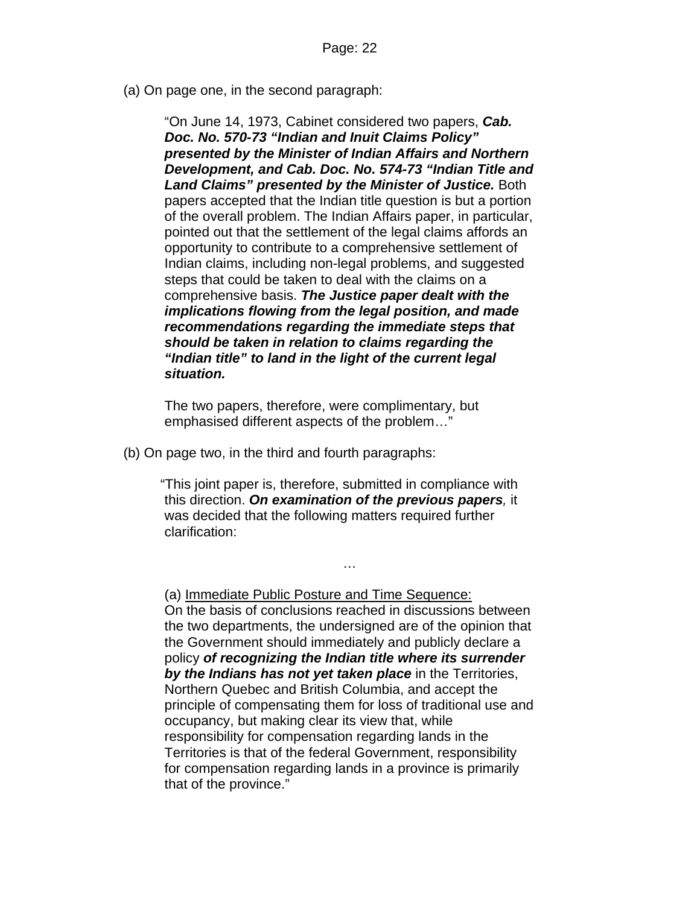(a) On page one, in the second paragraph:

"On June 14, 1973, Cabinet considered two papers, *Cab. Doc. No. 570-73 "Indian and Inuit Claims Policy" presented by the Minister of Indian Affairs and Northern Development, and Cab. Doc. No. 574-73 "Indian Title and Land Claims" presented by the Minister of Justice.* Both papers accepted that the Indian title question is but a portion of the overall problem. The Indian Affairs paper, in particular, pointed out that the settlement of the legal claims affords an opportunity to contribute to a comprehensive settlement of Indian claims, including non-legal problems, and suggested steps that could be taken to deal with the claims on a comprehensive basis. *The Justice paper dealt with the implications flowing from the legal position, and made recommendations regarding the immediate steps that should be taken in relation to claims regarding the "Indian title" to land in the light of the current legal situation.* 

The two papers, therefore, were complimentary, but emphasised different aspects of the problem…"

(b) On page two, in the third and fourth paragraphs:

"This joint paper is, therefore, submitted in compliance with this direction. *On examination of the previous papers,* it was decided that the following matters required further clarification:

…

(a) Immediate Public Posture and Time Sequence: On the basis of conclusions reached in discussions between the two departments, the undersigned are of the opinion that the Government should immediately and publicly declare a policy *of recognizing the Indian title where its surrender by the Indians has not yet taken place* in the Territories, Northern Quebec and British Columbia, and accept the principle of compensating them for loss of traditional use and occupancy, but making clear its view that, while responsibility for compensation regarding lands in the Territories is that of the federal Government, responsibility for compensation regarding lands in a province is primarily that of the province."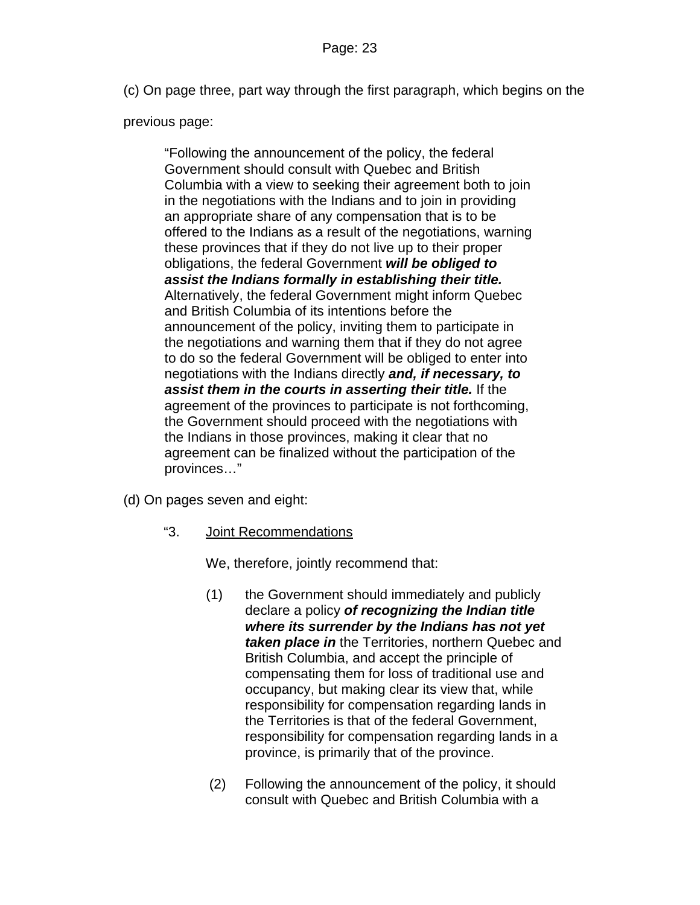(c) On page three, part way through the first paragraph, which begins on the

## previous page:

"Following the announcement of the policy, the federal Government should consult with Quebec and British Columbia with a view to seeking their agreement both to join in the negotiations with the Indians and to join in providing an appropriate share of any compensation that is to be offered to the Indians as a result of the negotiations, warning these provinces that if they do not live up to their proper obligations, the federal Government *will be obliged to assist the Indians formally in establishing their title.* Alternatively, the federal Government might inform Quebec and British Columbia of its intentions before the announcement of the policy, inviting them to participate in the negotiations and warning them that if they do not agree to do so the federal Government will be obliged to enter into negotiations with the Indians directly *and, if necessary, to assist them in the courts in asserting their title.* If the agreement of the provinces to participate is not forthcoming, the Government should proceed with the negotiations with the Indians in those provinces, making it clear that no agreement can be finalized without the participation of the provinces…"

- (d) On pages seven and eight:
	- "3. Joint Recommendations

We, therefore, jointly recommend that:

- (1) the Government should immediately and publicly declare a policy *of recognizing the Indian title where its surrender by the Indians has not yet taken place in* the Territories, northern Quebec and British Columbia, and accept the principle of compensating them for loss of traditional use and occupancy, but making clear its view that, while responsibility for compensation regarding lands in the Territories is that of the federal Government, responsibility for compensation regarding lands in a province, is primarily that of the province.
- (2) Following the announcement of the policy, it should consult with Quebec and British Columbia with a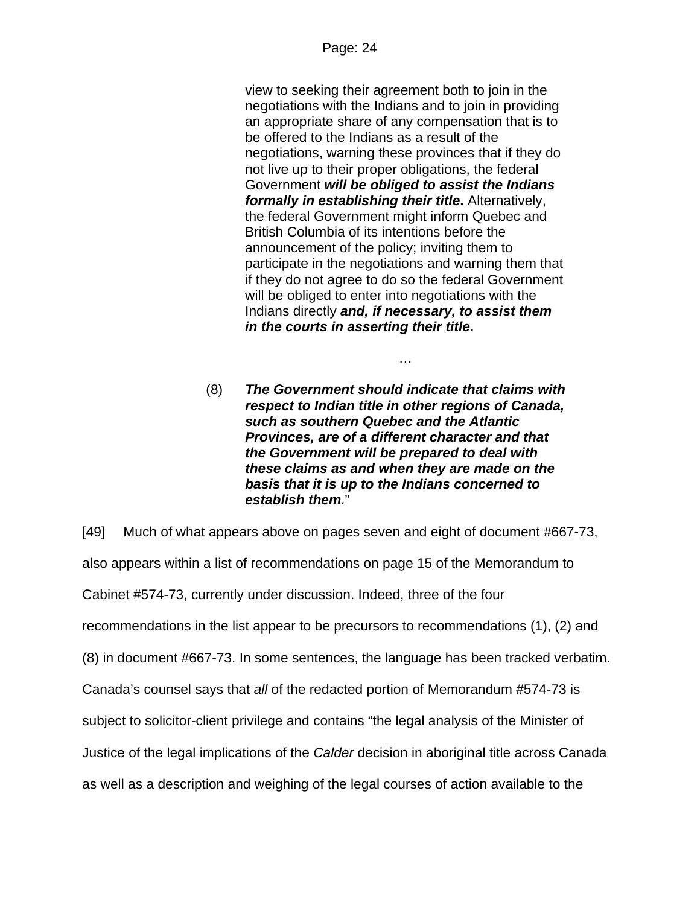view to seeking their agreement both to join in the negotiations with the Indians and to join in providing an appropriate share of any compensation that is to be offered to the Indians as a result of the negotiations, warning these provinces that if they do not live up to their proper obligations, the federal Government *will be obliged to assist the Indians formally in establishing their title***.** Alternatively, the federal Government might inform Quebec and British Columbia of its intentions before the announcement of the policy; inviting them to participate in the negotiations and warning them that if they do not agree to do so the federal Government will be obliged to enter into negotiations with the Indians directly *and, if necessary, to assist them in the courts in asserting their title***.**

…

(8) *The Government should indicate that claims with respect to Indian title in other regions of Canada, such as southern Quebec and the Atlantic Provinces, are of a different character and that the Government will be prepared to deal with these claims as and when they are made on the basis that it is up to the Indians concerned to establish them.*"

[49] Much of what appears above on pages seven and eight of document #667-73, also appears within a list of recommendations on page 15 of the Memorandum to Cabinet #574-73, currently under discussion. Indeed, three of the four recommendations in the list appear to be precursors to recommendations (1), (2) and (8) in document #667-73. In some sentences, the language has been tracked verbatim. Canada's counsel says that *all* of the redacted portion of Memorandum #574-73 is subject to solicitor-client privilege and contains "the legal analysis of the Minister of Justice of the legal implications of the *Calder* decision in aboriginal title across Canada as well as a description and weighing of the legal courses of action available to the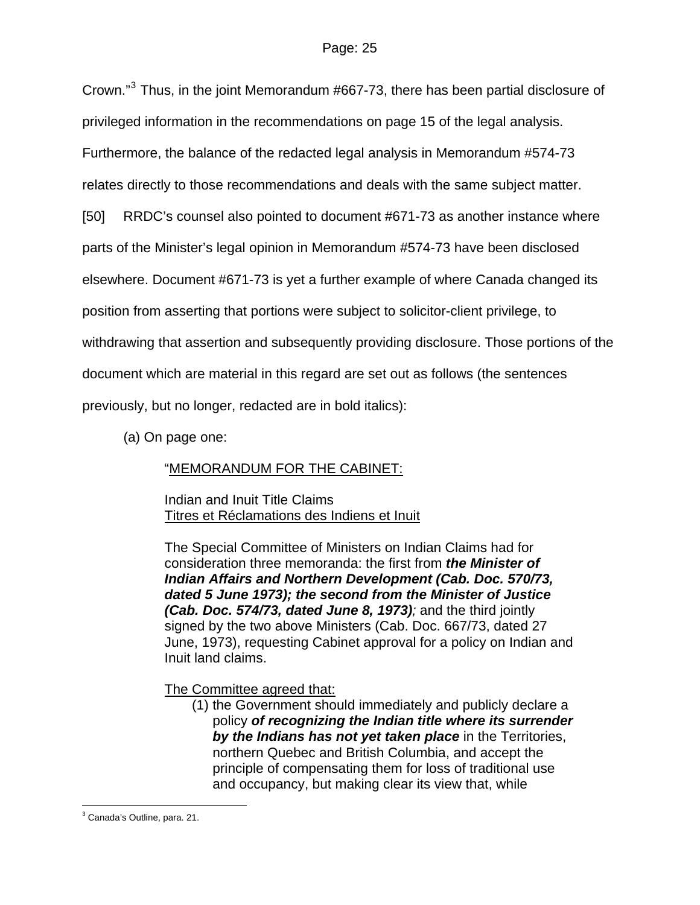Crown."<sup>[3](#page-24-0)</sup> Thus, in the joint Memorandum #667-73, there has been partial disclosure of privileged information in the recommendations on page 15 of the legal analysis.

Furthermore, the balance of the redacted legal analysis in Memorandum #574-73

relates directly to those recommendations and deals with the same subject matter.

[50] RRDC's counsel also pointed to document #671-73 as another instance where

parts of the Minister's legal opinion in Memorandum #574-73 have been disclosed

elsewhere. Document #671-73 is yet a further example of where Canada changed its

position from asserting that portions were subject to solicitor-client privilege, to

withdrawing that assertion and subsequently providing disclosure. Those portions of the

document which are material in this regard are set out as follows (the sentences

previously, but no longer, redacted are in bold italics):

(a) On page one:

# "MEMORANDUM FOR THE CABINET:

 Indian and Inuit Title Claims Titres et Réclamations des Indiens et Inuit

The Special Committee of Ministers on Indian Claims had for consideration three memoranda: the first from *the Minister of Indian Affairs and Northern Development (Cab. Doc. 570/73, dated 5 June 1973); the second from the Minister of Justice (Cab. Doc. 574/73, dated June 8, 1973);* and the third jointly signed by the two above Ministers (Cab. Doc. 667/73, dated 27 June, 1973), requesting Cabinet approval for a policy on Indian and Inuit land claims.

The Committee agreed that:

(1) the Government should immediately and publicly declare a policy *of recognizing the Indian title where its surrender by the Indians has not yet taken place* in the Territories, northern Quebec and British Columbia, and accept the principle of compensating them for loss of traditional use and occupancy, but making clear its view that, while

<span id="page-24-0"></span> $\overline{a}$ <sup>3</sup> Canada's Outline, para. 21.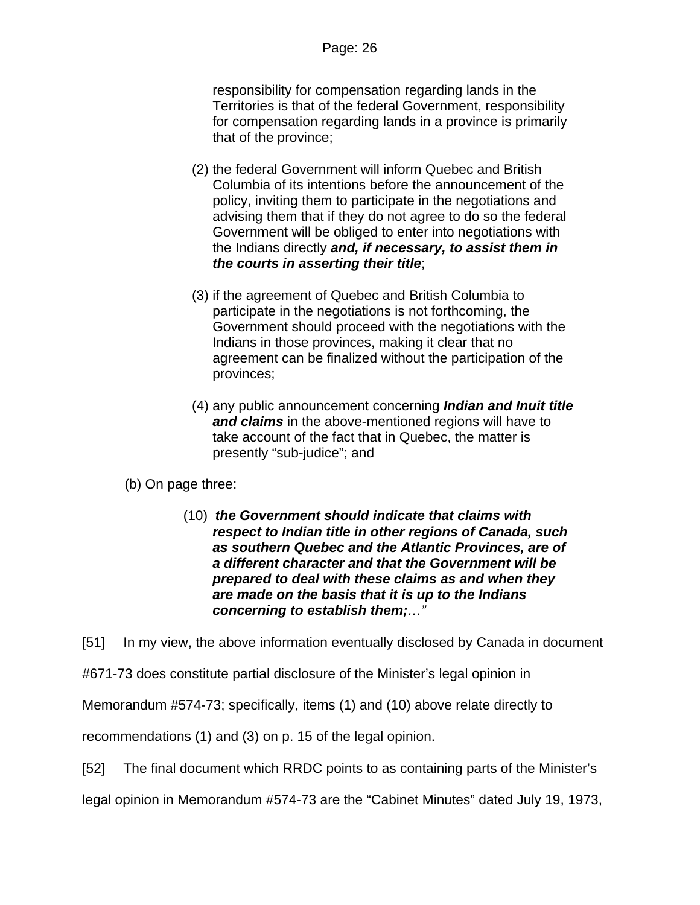responsibility for compensation regarding lands in the Territories is that of the federal Government, responsibility for compensation regarding lands in a province is primarily that of the province;

- (2) the federal Government will inform Quebec and British Columbia of its intentions before the announcement of the policy, inviting them to participate in the negotiations and advising them that if they do not agree to do so the federal Government will be obliged to enter into negotiations with the Indians directly *and, if necessary, to assist them in the courts in asserting their title*;
- (3) if the agreement of Quebec and British Columbia to participate in the negotiations is not forthcoming, the Government should proceed with the negotiations with the Indians in those provinces, making it clear that no agreement can be finalized without the participation of the provinces;
- (4) any public announcement concerning *Indian and Inuit title and claims* in the above-mentioned regions will have to take account of the fact that in Quebec, the matter is presently "sub-judice"; and
- (b) On page three:
	- (10) *the Government should indicate that claims with respect to Indian title in other regions of Canada, such as southern Quebec and the Atlantic Provinces, are of a different character and that the Government will be prepared to deal with these claims as and when they are made on the basis that it is up to the Indians concerning to establish them;…"*

[51] In my view, the above information eventually disclosed by Canada in document

#671-73 does constitute partial disclosure of the Minister's legal opinion in

Memorandum #574-73; specifically, items (1) and (10) above relate directly to

recommendations (1) and (3) on p. 15 of the legal opinion.

[52] The final document which RRDC points to as containing parts of the Minister's

legal opinion in Memorandum #574-73 are the "Cabinet Minutes" dated July 19, 1973,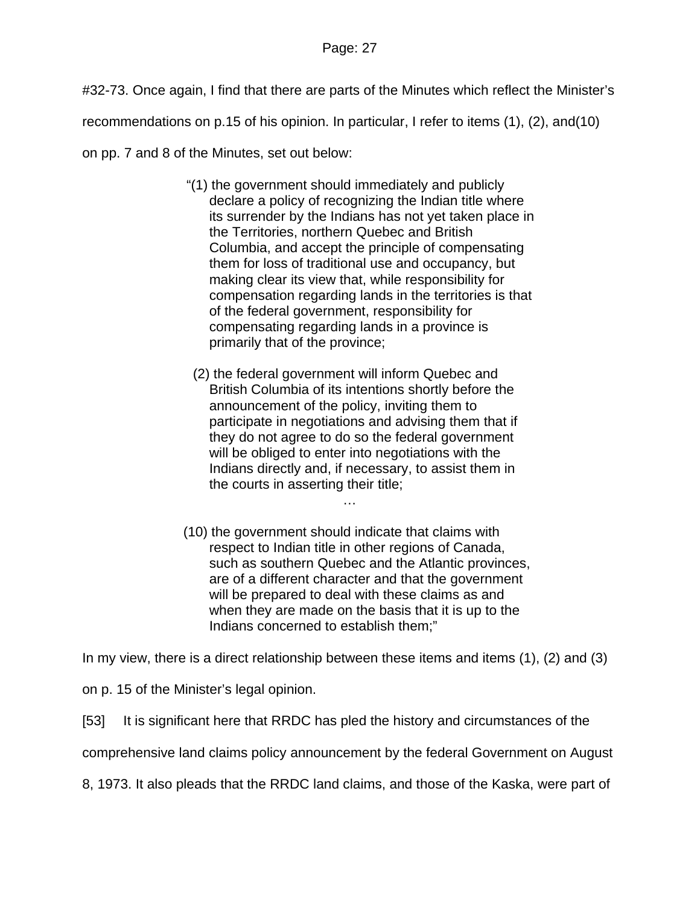#32-73. Once again, I find that there are parts of the Minutes which reflect the Minister's

recommendations on p.15 of his opinion. In particular, I refer to items (1), (2), and(10)

on pp. 7 and 8 of the Minutes, set out below:

- "(1) the government should immediately and publicly declare a policy of recognizing the Indian title where its surrender by the Indians has not yet taken place in the Territories, northern Quebec and British Columbia, and accept the principle of compensating them for loss of traditional use and occupancy, but making clear its view that, while responsibility for compensation regarding lands in the territories is that of the federal government, responsibility for compensating regarding lands in a province is primarily that of the province;
	- (2) the federal government will inform Quebec and British Columbia of its intentions shortly before the announcement of the policy, inviting them to participate in negotiations and advising them that if they do not agree to do so the federal government will be obliged to enter into negotiations with the Indians directly and, if necessary, to assist them in the courts in asserting their title;

…

(10) the government should indicate that claims with respect to Indian title in other regions of Canada, such as southern Quebec and the Atlantic provinces, are of a different character and that the government will be prepared to deal with these claims as and when they are made on the basis that it is up to the Indians concerned to establish them;"

In my view, there is a direct relationship between these items and items (1), (2) and (3)

on p. 15 of the Minister's legal opinion.

[53] It is significant here that RRDC has pled the history and circumstances of the

comprehensive land claims policy announcement by the federal Government on August

8, 1973. It also pleads that the RRDC land claims, and those of the Kaska, were part of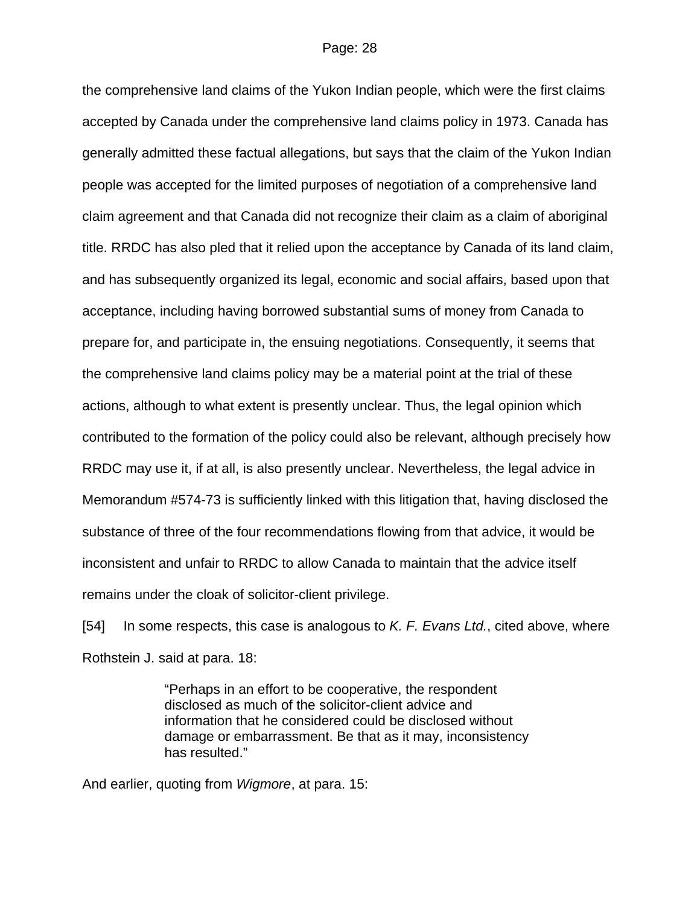the comprehensive land claims of the Yukon Indian people, which were the first claims accepted by Canada under the comprehensive land claims policy in 1973. Canada has generally admitted these factual allegations, but says that the claim of the Yukon Indian people was accepted for the limited purposes of negotiation of a comprehensive land claim agreement and that Canada did not recognize their claim as a claim of aboriginal title. RRDC has also pled that it relied upon the acceptance by Canada of its land claim, and has subsequently organized its legal, economic and social affairs, based upon that acceptance, including having borrowed substantial sums of money from Canada to prepare for, and participate in, the ensuing negotiations. Consequently, it seems that the comprehensive land claims policy may be a material point at the trial of these actions, although to what extent is presently unclear. Thus, the legal opinion which contributed to the formation of the policy could also be relevant, although precisely how RRDC may use it, if at all, is also presently unclear. Nevertheless, the legal advice in Memorandum #574-73 is sufficiently linked with this litigation that, having disclosed the substance of three of the four recommendations flowing from that advice, it would be inconsistent and unfair to RRDC to allow Canada to maintain that the advice itself remains under the cloak of solicitor-client privilege.

[54] In some respects, this case is analogous to *K. F. Evans Ltd.*, cited above, where Rothstein J. said at para. 18:

> "Perhaps in an effort to be cooperative, the respondent disclosed as much of the solicitor-client advice and information that he considered could be disclosed without damage or embarrassment. Be that as it may, inconsistency has resulted."

And earlier, quoting from *Wigmore*, at para. 15: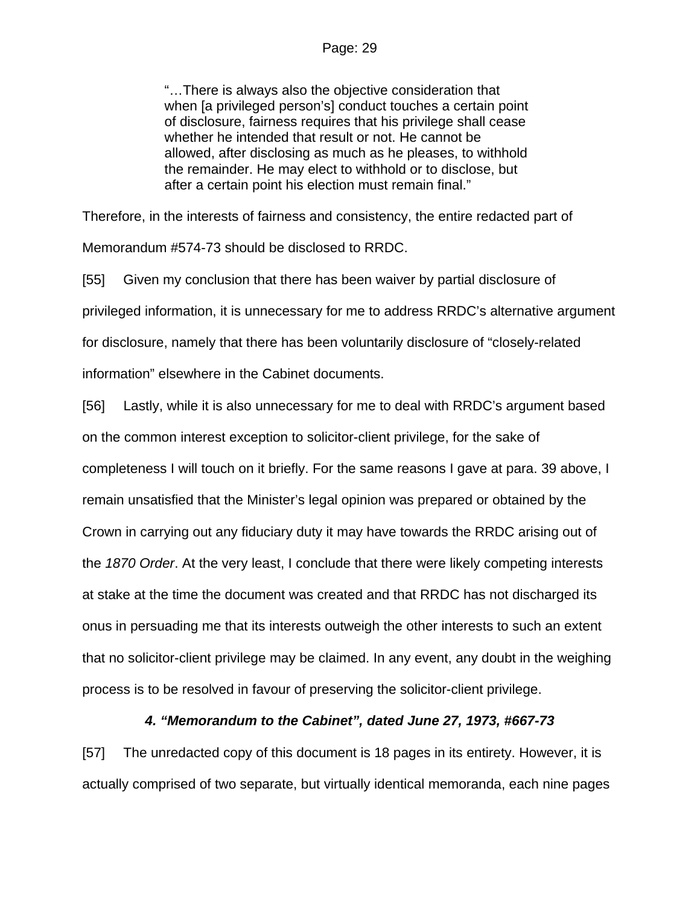"…There is always also the objective consideration that when [a privileged person's] conduct touches a certain point of disclosure, fairness requires that his privilege shall cease whether he intended that result or not. He cannot be allowed, after disclosing as much as he pleases, to withhold the remainder. He may elect to withhold or to disclose, but after a certain point his election must remain final."

Therefore, in the interests of fairness and consistency, the entire redacted part of Memorandum #574-73 should be disclosed to RRDC.

[55] Given my conclusion that there has been waiver by partial disclosure of privileged information, it is unnecessary for me to address RRDC's alternative argument for disclosure, namely that there has been voluntarily disclosure of "closely-related information" elsewhere in the Cabinet documents.

[56] Lastly, while it is also unnecessary for me to deal with RRDC's argument based on the common interest exception to solicitor-client privilege, for the sake of completeness I will touch on it briefly. For the same reasons I gave at para. 39 above, I remain unsatisfied that the Minister's legal opinion was prepared or obtained by the Crown in carrying out any fiduciary duty it may have towards the RRDC arising out of the *1870 Order*. At the very least, I conclude that there were likely competing interests at stake at the time the document was created and that RRDC has not discharged its onus in persuading me that its interests outweigh the other interests to such an extent that no solicitor-client privilege may be claimed. In any event, any doubt in the weighing process is to be resolved in favour of preserving the solicitor-client privilege.

## *4. "Memorandum to the Cabinet", dated June 27, 1973, #667-73*

[57] The unredacted copy of this document is 18 pages in its entirety. However, it is actually comprised of two separate, but virtually identical memoranda, each nine pages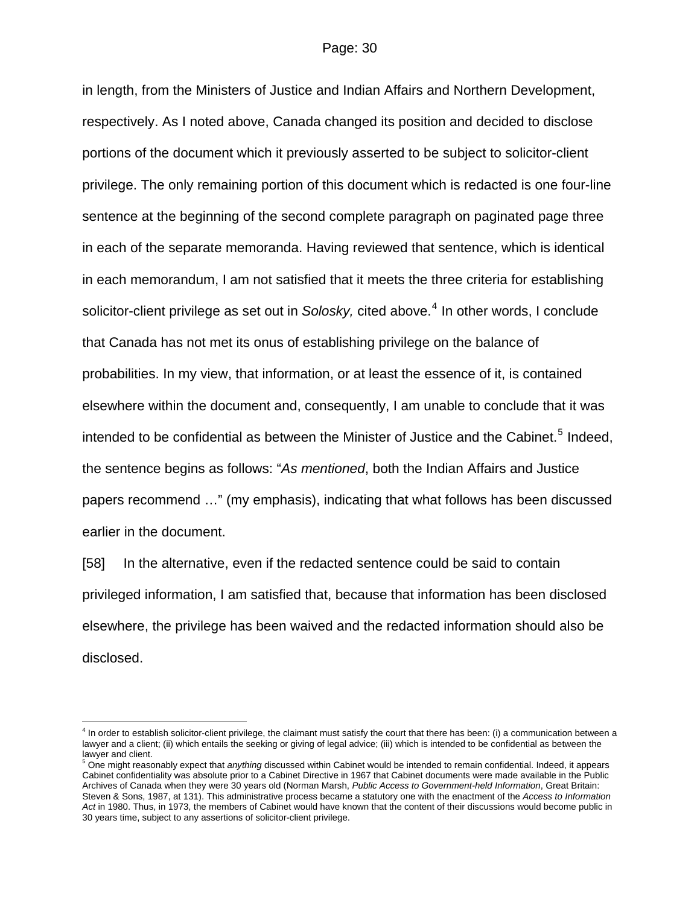in length, from the Ministers of Justice and Indian Affairs and Northern Development, respectively. As I noted above, Canada changed its position and decided to disclose portions of the document which it previously asserted to be subject to solicitor-client privilege. The only remaining portion of this document which is redacted is one four-line sentence at the beginning of the second complete paragraph on paginated page three in each of the separate memoranda. Having reviewed that sentence, which is identical in each memorandum, I am not satisfied that it meets the three criteria for establishing solicitor-client privilege as set out in *Solosky,* cited above.<sup>[4](#page-29-0)</sup> In other words, I conclude that Canada has not met its onus of establishing privilege on the balance of probabilities. In my view, that information, or at least the essence of it, is contained elsewhere within the document and, consequently, I am unable to conclude that it was intended to be confidential as between the Minister of Justice and the Cabinet.<sup>[5](#page-29-1)</sup> Indeed, the sentence begins as follows: "*As mentioned*, both the Indian Affairs and Justice papers recommend …" (my emphasis), indicating that what follows has been discussed earlier in the document.

[58] In the alternative, even if the redacted sentence could be said to contain privileged information, I am satisfied that, because that information has been disclosed elsewhere, the privilege has been waived and the redacted information should also be disclosed.

 $\overline{a}$ 

<span id="page-29-0"></span><sup>&</sup>lt;sup>4</sup> In order to establish solicitor-client privilege, the claimant must satisfy the court that there has been: (i) a communication between a lawyer and a client; (ii) which entails the seeking or giving of legal advice; (iii) which is intended to be confidential as between the lawyer and client.

<span id="page-29-1"></span><sup>&</sup>lt;sup>5</sup> One might reasonably expect that *anything* discussed within Cabinet would be intended to remain confidential. Indeed, it appears Cabinet confidentiality was absolute prior to a Cabinet Directive in 1967 that Cabinet documents were made available in the Public Archives of Canada when they were 30 years old (Norman Marsh, *Public Access to Government-held Information*, Great Britain: Steven & Sons, 1987, at 131). This administrative process became a statutory one with the enactment of the *Access to Information Act* in 1980. Thus, in 1973, the members of Cabinet would have known that the content of their discussions would become public in 30 years time, subject to any assertions of solicitor-client privilege.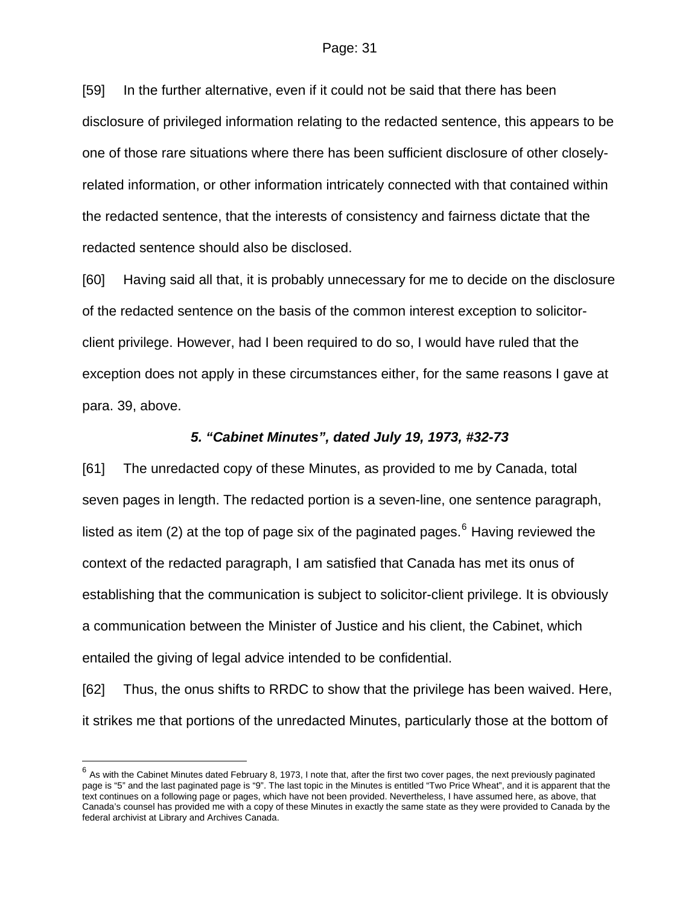[59] In the further alternative, even if it could not be said that there has been disclosure of privileged information relating to the redacted sentence, this appears to be one of those rare situations where there has been sufficient disclosure of other closelyrelated information, or other information intricately connected with that contained within the redacted sentence, that the interests of consistency and fairness dictate that the redacted sentence should also be disclosed.

[60] Having said all that, it is probably unnecessary for me to decide on the disclosure of the redacted sentence on the basis of the common interest exception to solicitorclient privilege. However, had I been required to do so, I would have ruled that the exception does not apply in these circumstances either, for the same reasons I gave at para. 39, above.

#### *5. "Cabinet Minutes", dated July 19, 1973, #32-73*

[61] The unredacted copy of these Minutes, as provided to me by Canada, total seven pages in length. The redacted portion is a seven-line, one sentence paragraph, listed as item (2) at the top of page six of the paginated pages.<sup>[6](#page-30-0)</sup> Having reviewed the context of the redacted paragraph, I am satisfied that Canada has met its onus of establishing that the communication is subject to solicitor-client privilege. It is obviously a communication between the Minister of Justice and his client, the Cabinet, which entailed the giving of legal advice intended to be confidential.

[62] Thus, the onus shifts to RRDC to show that the privilege has been waived. Here, it strikes me that portions of the unredacted Minutes, particularly those at the bottom of

 $\overline{a}$ 

<span id="page-30-0"></span> $^6$  As with the Cabinet Minutes dated February 8, 1973, I note that, after the first two cover pages, the next previously paginated page is "5" and the last paginated page is "9". The last topic in the Minutes is entitled "Two Price Wheat", and it is apparent that the text continues on a following page or pages, which have not been provided. Nevertheless, I have assumed here, as above, that Canada's counsel has provided me with a copy of these Minutes in exactly the same state as they were provided to Canada by the federal archivist at Library and Archives Canada.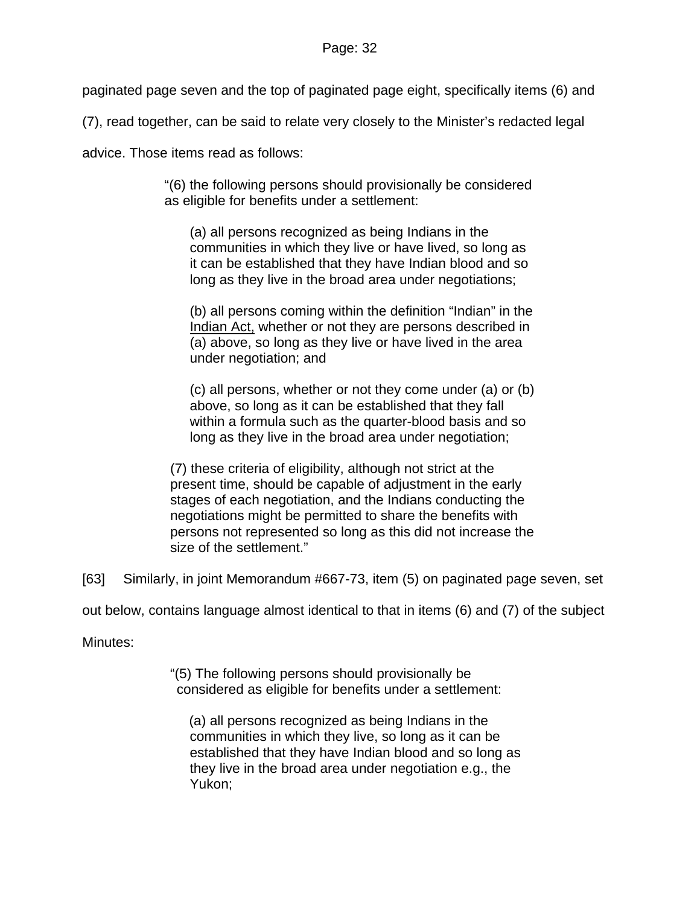paginated page seven and the top of paginated page eight, specifically items (6) and

(7), read together, can be said to relate very closely to the Minister's redacted legal

advice. Those items read as follows:

"(6) the following persons should provisionally be considered as eligible for benefits under a settlement:

(a) all persons recognized as being Indians in the communities in which they live or have lived, so long as it can be established that they have Indian blood and so long as they live in the broad area under negotiations;

(b) all persons coming within the definition "Indian" in the Indian Act, whether or not they are persons described in (a) above, so long as they live or have lived in the area under negotiation; and

(c) all persons, whether or not they come under (a) or (b) above, so long as it can be established that they fall within a formula such as the quarter-blood basis and so long as they live in the broad area under negotiation;

(7) these criteria of eligibility, although not strict at the present time, should be capable of adjustment in the early stages of each negotiation, and the Indians conducting the negotiations might be permitted to share the benefits with persons not represented so long as this did not increase the size of the settlement."

[63] Similarly, in joint Memorandum #667-73, item (5) on paginated page seven, set

out below, contains language almost identical to that in items (6) and (7) of the subject

Minutes:

"(5) The following persons should provisionally be considered as eligible for benefits under a settlement:

(a) all persons recognized as being Indians in the communities in which they live, so long as it can be established that they have Indian blood and so long as they live in the broad area under negotiation e.g., the Yukon;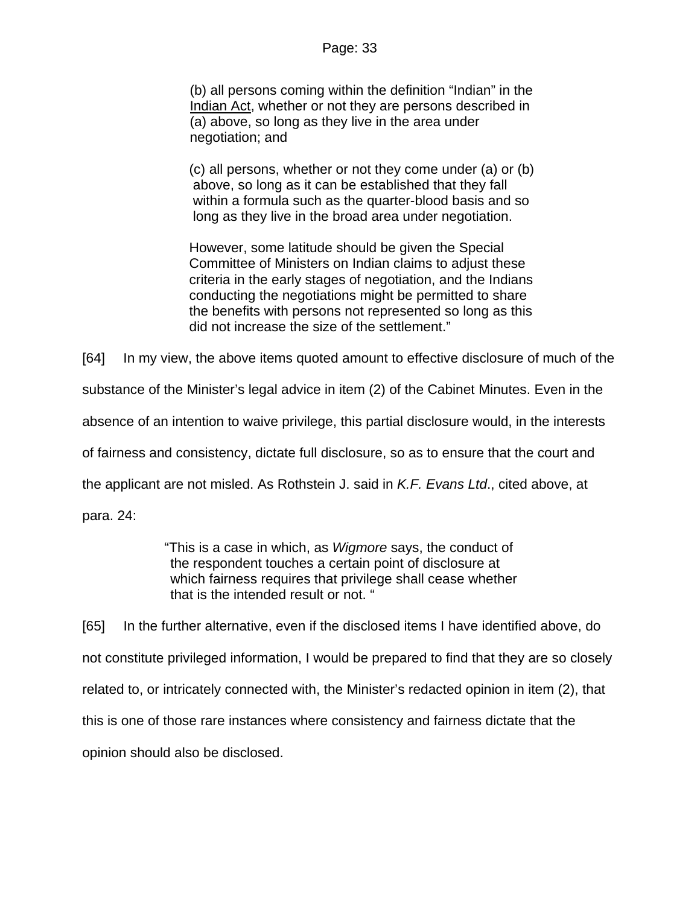(b) all persons coming within the definition "Indian" in the Indian Act, whether or not they are persons described in (a) above, so long as they live in the area under negotiation; and

(c) all persons, whether or not they come under (a) or (b) above, so long as it can be established that they fall within a formula such as the quarter-blood basis and so long as they live in the broad area under negotiation.

However, some latitude should be given the Special Committee of Ministers on Indian claims to adjust these criteria in the early stages of negotiation, and the Indians conducting the negotiations might be permitted to share the benefits with persons not represented so long as this did not increase the size of the settlement."

[64] In my view, the above items quoted amount to effective disclosure of much of the substance of the Minister's legal advice in item (2) of the Cabinet Minutes. Even in the absence of an intention to waive privilege, this partial disclosure would, in the interests of fairness and consistency, dictate full disclosure, so as to ensure that the court and the applicant are not misled. As Rothstein J. said in *K.F. Evans Ltd*., cited above, at para. 24:

> "This is a case in which, as *Wigmore* says, the conduct of the respondent touches a certain point of disclosure at which fairness requires that privilege shall cease whether that is the intended result or not. "

[65] In the further alternative, even if the disclosed items I have identified above, do not constitute privileged information, I would be prepared to find that they are so closely related to, or intricately connected with, the Minister's redacted opinion in item (2), that this is one of those rare instances where consistency and fairness dictate that the opinion should also be disclosed.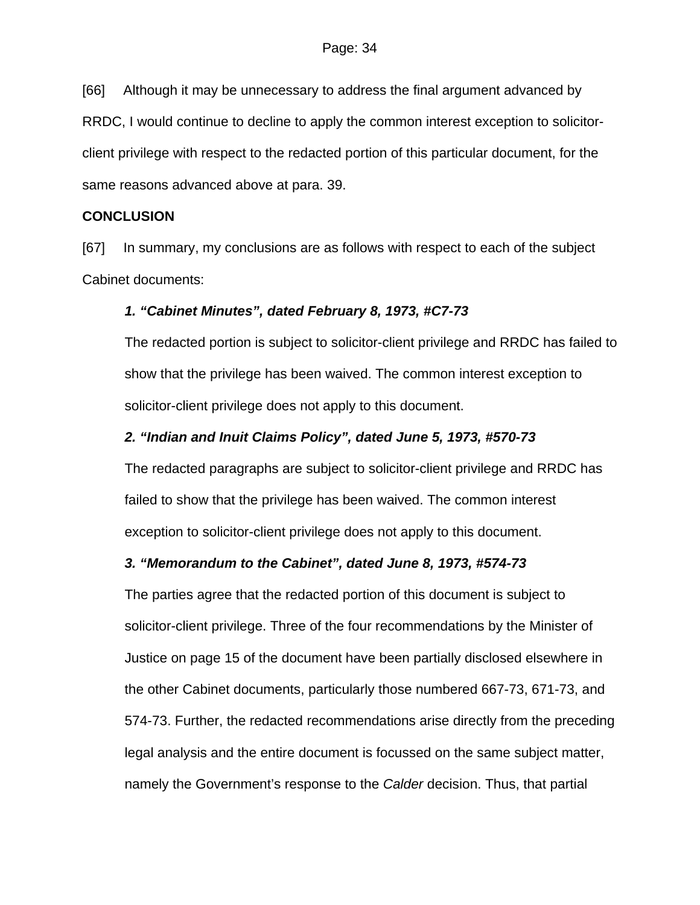[66] Although it may be unnecessary to address the final argument advanced by RRDC, I would continue to decline to apply the common interest exception to solicitorclient privilege with respect to the redacted portion of this particular document, for the same reasons advanced above at para. 39.

## **CONCLUSION**

[67] In summary, my conclusions are as follows with respect to each of the subject Cabinet documents:

# *1. "Cabinet Minutes", dated February 8, 1973, #C7-73*

The redacted portion is subject to solicitor-client privilege and RRDC has failed to show that the privilege has been waived. The common interest exception to solicitor-client privilege does not apply to this document.

# *2. "Indian and Inuit Claims Policy", dated June 5, 1973, #570-73*

The redacted paragraphs are subject to solicitor-client privilege and RRDC has failed to show that the privilege has been waived. The common interest exception to solicitor-client privilege does not apply to this document.

# *3. "Memorandum to the Cabinet", dated June 8, 1973, #574-73*

The parties agree that the redacted portion of this document is subject to solicitor-client privilege. Three of the four recommendations by the Minister of Justice on page 15 of the document have been partially disclosed elsewhere in the other Cabinet documents, particularly those numbered 667-73, 671-73, and 574-73. Further, the redacted recommendations arise directly from the preceding legal analysis and the entire document is focussed on the same subject matter, namely the Government's response to the *Calder* decision. Thus, that partial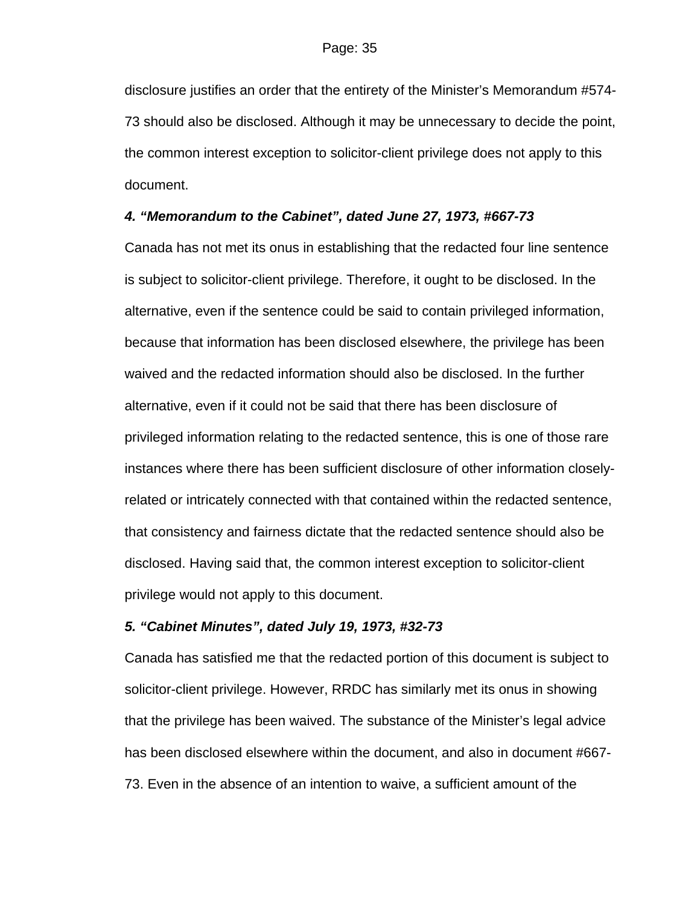disclosure justifies an order that the entirety of the Minister's Memorandum #574- 73 should also be disclosed. Although it may be unnecessary to decide the point, the common interest exception to solicitor-client privilege does not apply to this document.

## *4. "Memorandum to the Cabinet", dated June 27, 1973, #667-73*

Canada has not met its onus in establishing that the redacted four line sentence is subject to solicitor-client privilege. Therefore, it ought to be disclosed. In the alternative, even if the sentence could be said to contain privileged information, because that information has been disclosed elsewhere, the privilege has been waived and the redacted information should also be disclosed. In the further alternative, even if it could not be said that there has been disclosure of privileged information relating to the redacted sentence, this is one of those rare instances where there has been sufficient disclosure of other information closelyrelated or intricately connected with that contained within the redacted sentence, that consistency and fairness dictate that the redacted sentence should also be disclosed. Having said that, the common interest exception to solicitor-client privilege would not apply to this document.

#### *5. "Cabinet Minutes", dated July 19, 1973, #32-73*

Canada has satisfied me that the redacted portion of this document is subject to solicitor-client privilege. However, RRDC has similarly met its onus in showing that the privilege has been waived. The substance of the Minister's legal advice has been disclosed elsewhere within the document, and also in document #667- 73. Even in the absence of an intention to waive, a sufficient amount of the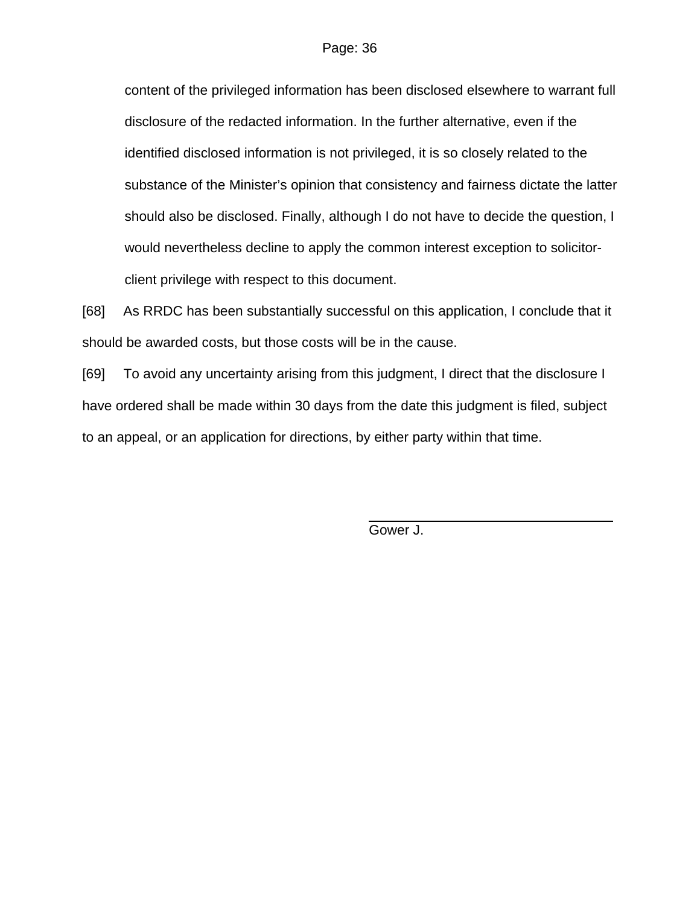content of the privileged information has been disclosed elsewhere to warrant full disclosure of the redacted information. In the further alternative, even if the identified disclosed information is not privileged, it is so closely related to the substance of the Minister's opinion that consistency and fairness dictate the latter should also be disclosed. Finally, although I do not have to decide the question, I would nevertheless decline to apply the common interest exception to solicitorclient privilege with respect to this document.

[68] As RRDC has been substantially successful on this application, I conclude that it should be awarded costs, but those costs will be in the cause.

[69] To avoid any uncertainty arising from this judgment, I direct that the disclosure I have ordered shall be made within 30 days from the date this judgment is filed, subject to an appeal, or an application for directions, by either party within that time.

Gower J.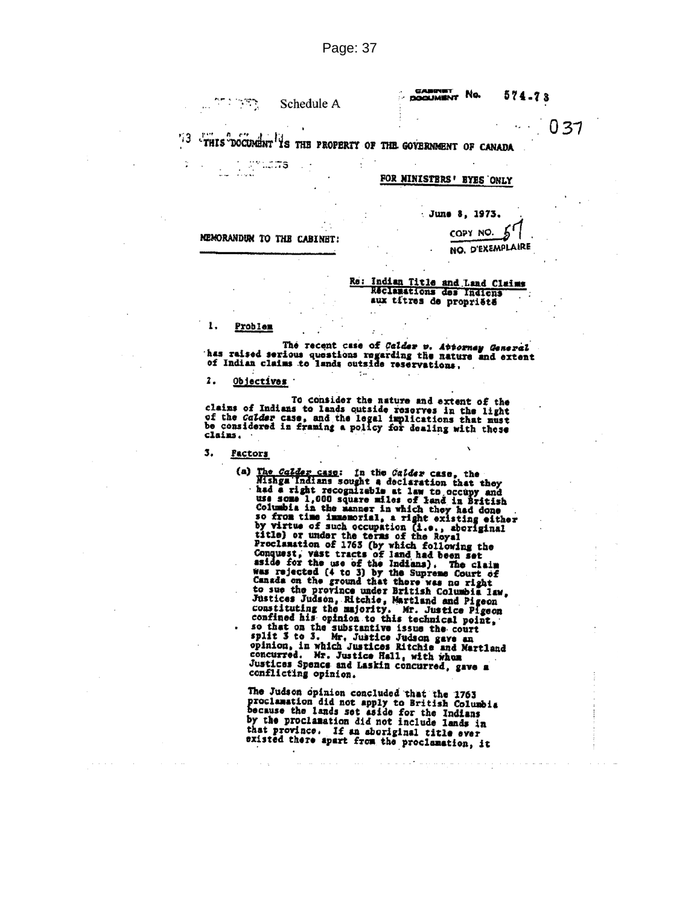লা : খেলা Schedule A **CABINET** No.  $574 - 73$ 

 $0.37$ 

 $1.1.7$ 73 THIS DOCUMENT IS THE PROPERTY OF THE GOVERNMENT OF CANADA n  $\cdots$ 

#### FOR MINISTERS' EYES ONLY

June 8, 1973.

MEMORANDUM TO THE CABINET:

ುರ್ಯ

COPY NO. NO. D'EXEMPLAIRE

Re: Indian Title and Land Claims<br>Reclassions des Indiens aux titres de propriété

#### 1. Problem

il.<br>Album

÷

The recent case of Calder v. Attorney General has reised serious questions regarding the nature and extent<br>of Indian claims to lands outside reservations.  $\ddot{\phantom{a}}$  .

2. Objectives

To consider the nature and extent of the<br>claims of Indians to lands outside reserves in the light<br>of the *Calder* case, and the legal implications that must<br>be considered in framing a policy for dealing with these<br>claims. claims.

3. Factors

Factors<br>
(a) The Calder case: In the Calder case, the<br>
Mishga indians sought a dociaration that they<br>
had a right recognizable at law to occupy and<br>
use some 1,000 square miles of land in British<br>
Columbia in the manner i

The Judson opinion concluded that the 1763<br>proclamation did not apply to British Columbia<br>because the lands set aside for the Indians<br>by the proclamation did not include lands in<br>that province. If an aboriginal time sum that province. If an aboriginal title ever existed there apart from the proclamation, it